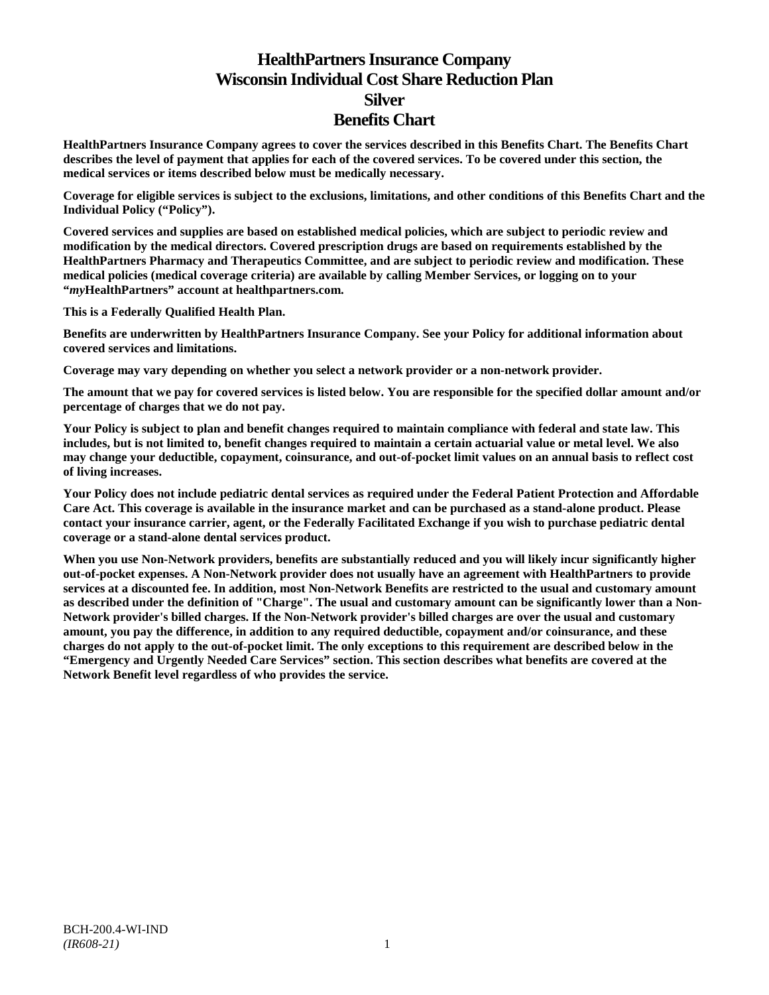# **HealthPartners Insurance Company Wisconsin Individual Cost Share Reduction Plan Silver Benefits Chart**

**HealthPartners Insurance Company agrees to cover the services described in this Benefits Chart. The Benefits Chart describes the level of payment that applies for each of the covered services. To be covered under this section, the medical services or items described below must be medically necessary.**

**Coverage for eligible services is subject to the exclusions, limitations, and other conditions of this Benefits Chart and the Individual Policy ("Policy").**

**Covered services and supplies are based on established medical policies, which are subject to periodic review and modification by the medical directors. Covered prescription drugs are based on requirements established by the HealthPartners Pharmacy and Therapeutics Committee, and are subject to periodic review and modification. These medical policies (medical coverage criteria) are available by calling Member Services, or logging on to your "***my***HealthPartners" account at [healthpartners.com.](http://www.healthpartners.com/)**

**This is a Federally Qualified Health Plan.**

**Benefits are underwritten by HealthPartners Insurance Company. See your Policy for additional information about covered services and limitations.**

**Coverage may vary depending on whether you select a network provider or a non-network provider.**

**The amount that we pay for covered services is listed below. You are responsible for the specified dollar amount and/or percentage of charges that we do not pay.**

**Your Policy is subject to plan and benefit changes required to maintain compliance with federal and state law. This includes, but is not limited to, benefit changes required to maintain a certain actuarial value or metal level. We also may change your deductible, copayment, coinsurance, and out-of-pocket limit values on an annual basis to reflect cost of living increases.**

**Your Policy does not include pediatric dental services as required under the Federal Patient Protection and Affordable Care Act. This coverage is available in the insurance market and can be purchased as a stand-alone product. Please contact your insurance carrier, agent, or the Federally Facilitated Exchange if you wish to purchase pediatric dental coverage or a stand-alone dental services product.**

**When you use Non-Network providers, benefits are substantially reduced and you will likely incur significantly higher out-of-pocket expenses. A Non-Network provider does not usually have an agreement with HealthPartners to provide services at a discounted fee. In addition, most Non-Network Benefits are restricted to the usual and customary amount as described under the definition of "Charge". The usual and customary amount can be significantly lower than a Non-Network provider's billed charges. If the Non-Network provider's billed charges are over the usual and customary amount, you pay the difference, in addition to any required deductible, copayment and/or coinsurance, and these charges do not apply to the out-of-pocket limit. The only exceptions to this requirement are described below in the "Emergency and Urgently Needed Care Services" section. This section describes what benefits are covered at the Network Benefit level regardless of who provides the service.**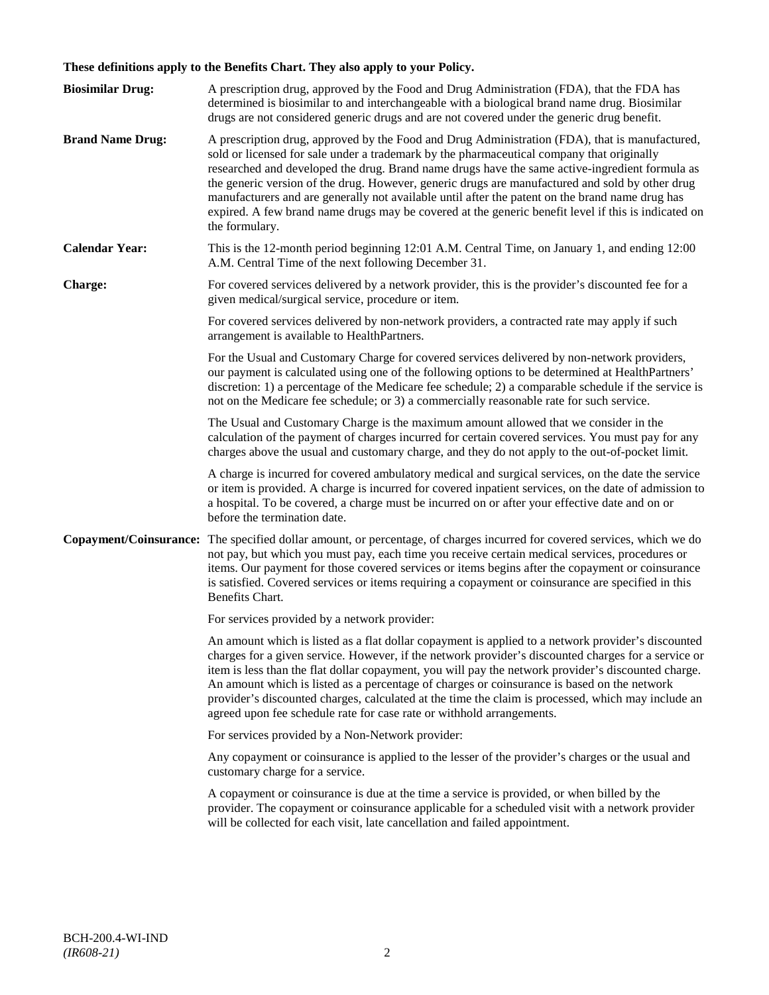# **These definitions apply to the Benefits Chart. They also apply to your Policy.**

| <b>Biosimilar Drug:</b> | A prescription drug, approved by the Food and Drug Administration (FDA), that the FDA has<br>determined is biosimilar to and interchangeable with a biological brand name drug. Biosimilar<br>drugs are not considered generic drugs and are not covered under the generic drug benefit.                                                                                                                                                                                                                                                                                                                                     |
|-------------------------|------------------------------------------------------------------------------------------------------------------------------------------------------------------------------------------------------------------------------------------------------------------------------------------------------------------------------------------------------------------------------------------------------------------------------------------------------------------------------------------------------------------------------------------------------------------------------------------------------------------------------|
| <b>Brand Name Drug:</b> | A prescription drug, approved by the Food and Drug Administration (FDA), that is manufactured,<br>sold or licensed for sale under a trademark by the pharmaceutical company that originally<br>researched and developed the drug. Brand name drugs have the same active-ingredient formula as<br>the generic version of the drug. However, generic drugs are manufactured and sold by other drug<br>manufacturers and are generally not available until after the patent on the brand name drug has<br>expired. A few brand name drugs may be covered at the generic benefit level if this is indicated on<br>the formulary. |
| <b>Calendar Year:</b>   | This is the 12-month period beginning 12:01 A.M. Central Time, on January 1, and ending 12:00<br>A.M. Central Time of the next following December 31.                                                                                                                                                                                                                                                                                                                                                                                                                                                                        |
| Charge:                 | For covered services delivered by a network provider, this is the provider's discounted fee for a<br>given medical/surgical service, procedure or item.                                                                                                                                                                                                                                                                                                                                                                                                                                                                      |
|                         | For covered services delivered by non-network providers, a contracted rate may apply if such<br>arrangement is available to HealthPartners.                                                                                                                                                                                                                                                                                                                                                                                                                                                                                  |
|                         | For the Usual and Customary Charge for covered services delivered by non-network providers,<br>our payment is calculated using one of the following options to be determined at HealthPartners'<br>discretion: 1) a percentage of the Medicare fee schedule; 2) a comparable schedule if the service is<br>not on the Medicare fee schedule; or 3) a commercially reasonable rate for such service.                                                                                                                                                                                                                          |
|                         | The Usual and Customary Charge is the maximum amount allowed that we consider in the<br>calculation of the payment of charges incurred for certain covered services. You must pay for any<br>charges above the usual and customary charge, and they do not apply to the out-of-pocket limit.                                                                                                                                                                                                                                                                                                                                 |
|                         | A charge is incurred for covered ambulatory medical and surgical services, on the date the service<br>or item is provided. A charge is incurred for covered inpatient services, on the date of admission to<br>a hospital. To be covered, a charge must be incurred on or after your effective date and on or<br>before the termination date.                                                                                                                                                                                                                                                                                |
| Copayment/Coinsurance:  | The specified dollar amount, or percentage, of charges incurred for covered services, which we do<br>not pay, but which you must pay, each time you receive certain medical services, procedures or<br>items. Our payment for those covered services or items begins after the copayment or coinsurance<br>is satisfied. Covered services or items requiring a copayment or coinsurance are specified in this<br>Benefits Chart.                                                                                                                                                                                             |
|                         | For services provided by a network provider:                                                                                                                                                                                                                                                                                                                                                                                                                                                                                                                                                                                 |
|                         | An amount which is listed as a flat dollar copayment is applied to a network provider's discounted<br>charges for a given service. However, if the network provider's discounted charges for a service or<br>item is less than the flat dollar copayment, you will pay the network provider's discounted charge.<br>An amount which is listed as a percentage of charges or coinsurance is based on the network<br>provider's discounted charges, calculated at the time the claim is processed, which may include an<br>agreed upon fee schedule rate for case rate or withhold arrangements.                               |
|                         | For services provided by a Non-Network provider:                                                                                                                                                                                                                                                                                                                                                                                                                                                                                                                                                                             |
|                         | Any copayment or coinsurance is applied to the lesser of the provider's charges or the usual and<br>customary charge for a service.                                                                                                                                                                                                                                                                                                                                                                                                                                                                                          |
|                         | A copayment or coinsurance is due at the time a service is provided, or when billed by the<br>provider. The copayment or coinsurance applicable for a scheduled visit with a network provider<br>will be collected for each visit, late cancellation and failed appointment.                                                                                                                                                                                                                                                                                                                                                 |
|                         |                                                                                                                                                                                                                                                                                                                                                                                                                                                                                                                                                                                                                              |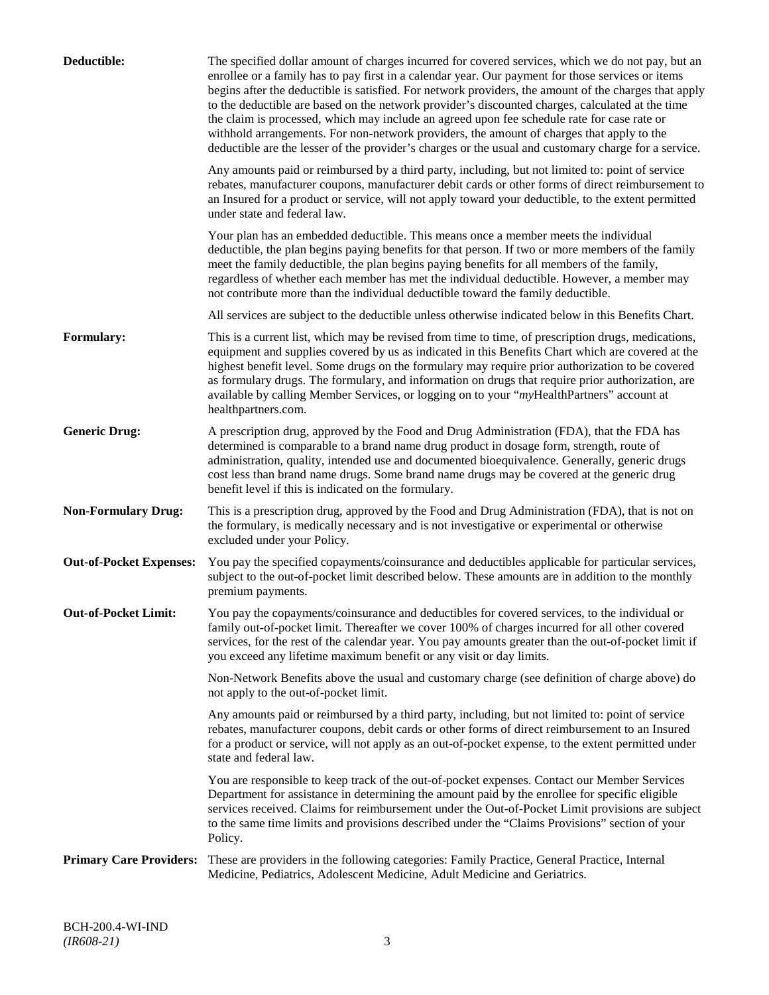| Deductible:                    | The specified dollar amount of charges incurred for covered services, which we do not pay, but an<br>enrollee or a family has to pay first in a calendar year. Our payment for those services or items<br>begins after the deductible is satisfied. For network providers, the amount of the charges that apply<br>to the deductible are based on the network provider's discounted charges, calculated at the time<br>the claim is processed, which may include an agreed upon fee schedule rate for case rate or<br>withhold arrangements. For non-network providers, the amount of charges that apply to the<br>deductible are the lesser of the provider's charges or the usual and customary charge for a service. |
|--------------------------------|-------------------------------------------------------------------------------------------------------------------------------------------------------------------------------------------------------------------------------------------------------------------------------------------------------------------------------------------------------------------------------------------------------------------------------------------------------------------------------------------------------------------------------------------------------------------------------------------------------------------------------------------------------------------------------------------------------------------------|
|                                | Any amounts paid or reimbursed by a third party, including, but not limited to: point of service<br>rebates, manufacturer coupons, manufacturer debit cards or other forms of direct reimbursement to<br>an Insured for a product or service, will not apply toward your deductible, to the extent permitted<br>under state and federal law.                                                                                                                                                                                                                                                                                                                                                                            |
|                                | Your plan has an embedded deductible. This means once a member meets the individual<br>deductible, the plan begins paying benefits for that person. If two or more members of the family<br>meet the family deductible, the plan begins paying benefits for all members of the family,<br>regardless of whether each member has met the individual deductible. However, a member may<br>not contribute more than the individual deductible toward the family deductible.                                                                                                                                                                                                                                                |
|                                | All services are subject to the deductible unless otherwise indicated below in this Benefits Chart.                                                                                                                                                                                                                                                                                                                                                                                                                                                                                                                                                                                                                     |
| <b>Formulary:</b>              | This is a current list, which may be revised from time to time, of prescription drugs, medications,<br>equipment and supplies covered by us as indicated in this Benefits Chart which are covered at the<br>highest benefit level. Some drugs on the formulary may require prior authorization to be covered<br>as formulary drugs. The formulary, and information on drugs that require prior authorization, are<br>available by calling Member Services, or logging on to your "myHealthPartners" account at<br>healthpartners.com.                                                                                                                                                                                   |
| <b>Generic Drug:</b>           | A prescription drug, approved by the Food and Drug Administration (FDA), that the FDA has<br>determined is comparable to a brand name drug product in dosage form, strength, route of<br>administration, quality, intended use and documented bioequivalence. Generally, generic drugs<br>cost less than brand name drugs. Some brand name drugs may be covered at the generic drug<br>benefit level if this is indicated on the formulary.                                                                                                                                                                                                                                                                             |
| <b>Non-Formulary Drug:</b>     | This is a prescription drug, approved by the Food and Drug Administration (FDA), that is not on<br>the formulary, is medically necessary and is not investigative or experimental or otherwise<br>excluded under your Policy.                                                                                                                                                                                                                                                                                                                                                                                                                                                                                           |
| <b>Out-of-Pocket Expenses:</b> | You pay the specified copayments/coinsurance and deductibles applicable for particular services,<br>subject to the out-of-pocket limit described below. These amounts are in addition to the monthly<br>premium payments.                                                                                                                                                                                                                                                                                                                                                                                                                                                                                               |
| <b>Out-of-Pocket Limit:</b>    | You pay the copayments/coinsurance and deductibles for covered services, to the individual or<br>family out-of-pocket limit. Thereafter we cover 100% of charges incurred for all other covered<br>services, for the rest of the calendar year. You pay amounts greater than the out-of-pocket limit if<br>you exceed any lifetime maximum benefit or any visit or day limits.                                                                                                                                                                                                                                                                                                                                          |
|                                | Non-Network Benefits above the usual and customary charge (see definition of charge above) do<br>not apply to the out-of-pocket limit.                                                                                                                                                                                                                                                                                                                                                                                                                                                                                                                                                                                  |
|                                | Any amounts paid or reimbursed by a third party, including, but not limited to: point of service<br>rebates, manufacturer coupons, debit cards or other forms of direct reimbursement to an Insured<br>for a product or service, will not apply as an out-of-pocket expense, to the extent permitted under<br>state and federal law.                                                                                                                                                                                                                                                                                                                                                                                    |
|                                | You are responsible to keep track of the out-of-pocket expenses. Contact our Member Services<br>Department for assistance in determining the amount paid by the enrollee for specific eligible<br>services received. Claims for reimbursement under the Out-of-Pocket Limit provisions are subject<br>to the same time limits and provisions described under the "Claims Provisions" section of your<br>Policy.                                                                                                                                                                                                                                                                                                         |
| <b>Primary Care Providers:</b> | These are providers in the following categories: Family Practice, General Practice, Internal<br>Medicine, Pediatrics, Adolescent Medicine, Adult Medicine and Geriatrics.                                                                                                                                                                                                                                                                                                                                                                                                                                                                                                                                               |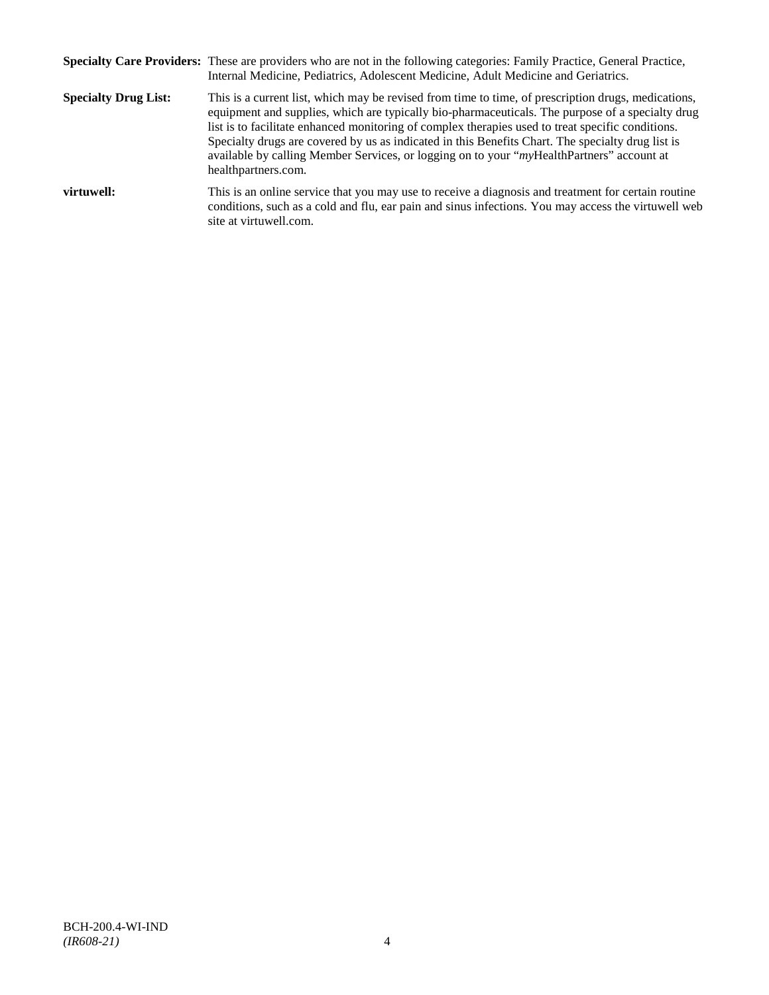|                             | Specialty Care Providers: These are providers who are not in the following categories: Family Practice, General Practice,<br>Internal Medicine, Pediatrics, Adolescent Medicine, Adult Medicine and Geriatrics.                                                                                                                                                                                                                                                                                                                       |
|-----------------------------|---------------------------------------------------------------------------------------------------------------------------------------------------------------------------------------------------------------------------------------------------------------------------------------------------------------------------------------------------------------------------------------------------------------------------------------------------------------------------------------------------------------------------------------|
| <b>Specialty Drug List:</b> | This is a current list, which may be revised from time to time, of prescription drugs, medications,<br>equipment and supplies, which are typically bio-pharmaceuticals. The purpose of a specialty drug<br>list is to facilitate enhanced monitoring of complex therapies used to treat specific conditions.<br>Specialty drugs are covered by us as indicated in this Benefits Chart. The specialty drug list is<br>available by calling Member Services, or logging on to your "myHealthPartners" account at<br>healthpartners.com. |
| virtuwell:                  | This is an online service that you may use to receive a diagnosis and treatment for certain routine<br>conditions, such as a cold and flu, ear pain and sinus infections. You may access the virtuwell web<br>site at virtuwell.com.                                                                                                                                                                                                                                                                                                  |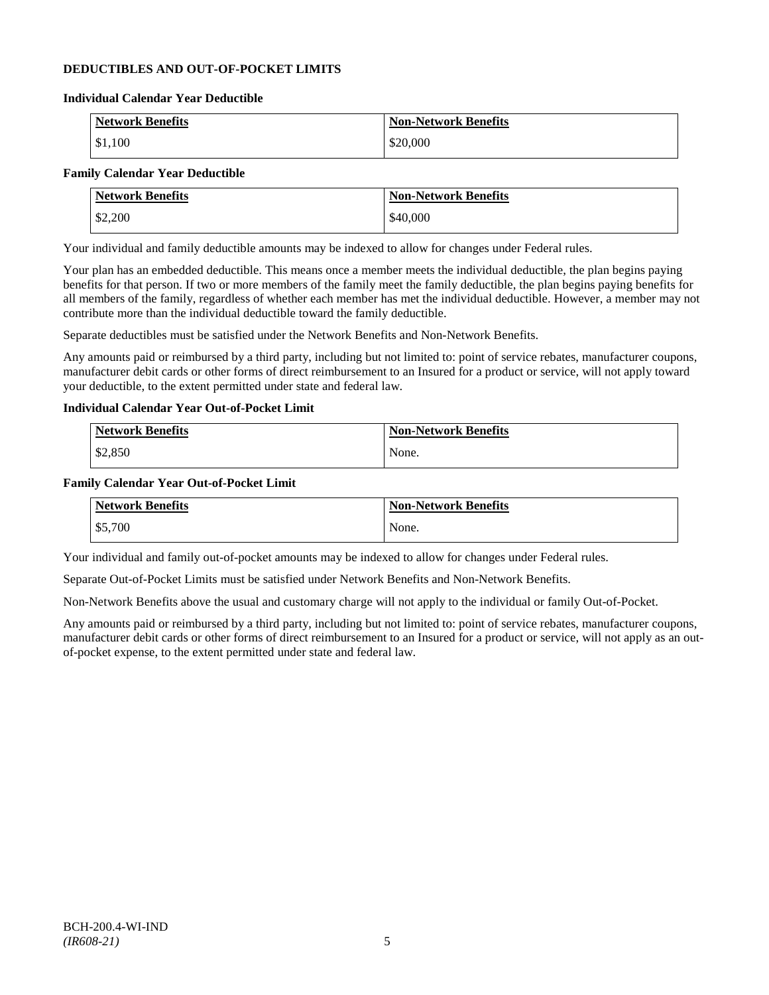### **DEDUCTIBLES AND OUT-OF-POCKET LIMITS**

#### **Individual Calendar Year Deductible**

| <b>Network Benefits</b> | <b>Non-Network Benefits</b> |
|-------------------------|-----------------------------|
| \$1,100                 | \$20,000                    |

### **Family Calendar Year Deductible**

| <b>Network Benefits</b> | <b>Non-Network Benefits</b> |
|-------------------------|-----------------------------|
| \$2,200                 | \$40,000                    |

Your individual and family deductible amounts may be indexed to allow for changes under Federal rules.

Your plan has an embedded deductible. This means once a member meets the individual deductible, the plan begins paying benefits for that person. If two or more members of the family meet the family deductible, the plan begins paying benefits for all members of the family, regardless of whether each member has met the individual deductible. However, a member may not contribute more than the individual deductible toward the family deductible.

Separate deductibles must be satisfied under the Network Benefits and Non-Network Benefits.

Any amounts paid or reimbursed by a third party, including but not limited to: point of service rebates, manufacturer coupons, manufacturer debit cards or other forms of direct reimbursement to an Insured for a product or service, will not apply toward your deductible, to the extent permitted under state and federal law.

### **Individual Calendar Year Out-of-Pocket Limit**

| Network Benefits | <b>Non-Network Benefits</b> |
|------------------|-----------------------------|
| \$2,850          | None.                       |

#### **Family Calendar Year Out-of-Pocket Limit**

| <b>Network Benefits</b> | <b>Non-Network Benefits</b> |
|-------------------------|-----------------------------|
| \$5,700                 | None.                       |

Your individual and family out-of-pocket amounts may be indexed to allow for changes under Federal rules.

Separate Out-of-Pocket Limits must be satisfied under Network Benefits and Non-Network Benefits.

Non-Network Benefits above the usual and customary charge will not apply to the individual or family Out-of-Pocket.

Any amounts paid or reimbursed by a third party, including but not limited to: point of service rebates, manufacturer coupons, manufacturer debit cards or other forms of direct reimbursement to an Insured for a product or service, will not apply as an outof-pocket expense, to the extent permitted under state and federal law.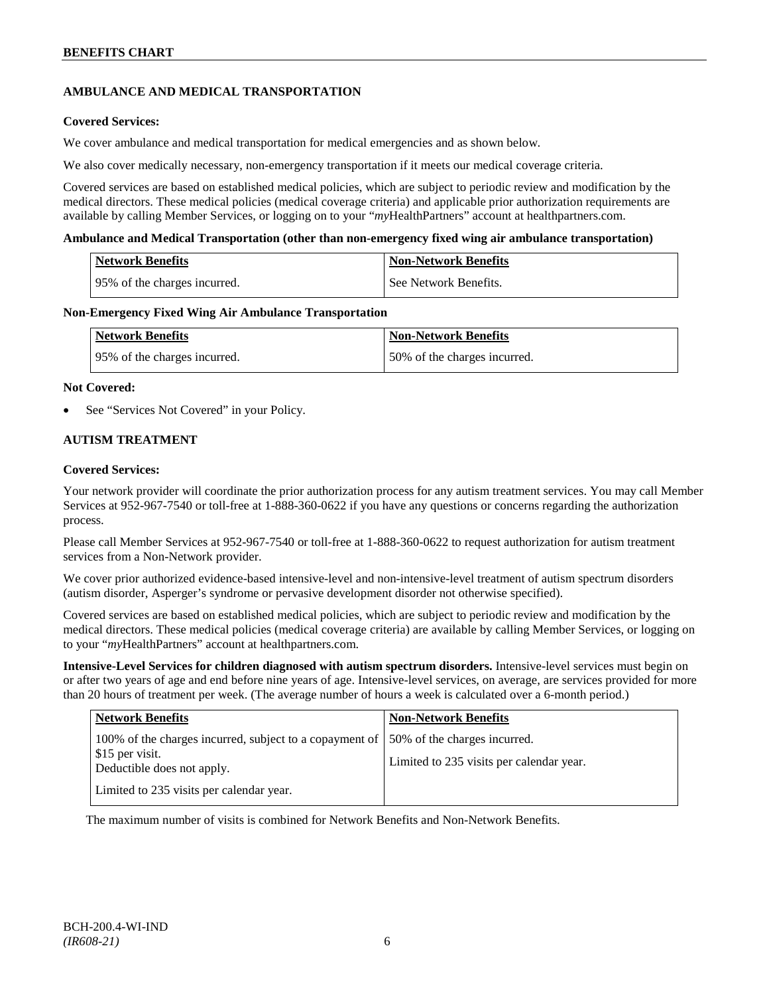# **AMBULANCE AND MEDICAL TRANSPORTATION**

### **Covered Services:**

We cover ambulance and medical transportation for medical emergencies and as shown below.

We also cover medically necessary, non-emergency transportation if it meets our medical coverage criteria.

Covered services are based on established medical policies, which are subject to periodic review and modification by the medical directors. These medical policies (medical coverage criteria) and applicable prior authorization requirements are available by calling Member Services, or logging on to your "*my*HealthPartners" account a[t healthpartners.com.](http://www.healthpartners.com/)

#### **Ambulance and Medical Transportation (other than non-emergency fixed wing air ambulance transportation)**

| Network Benefits             | <b>Non-Network Benefits</b> |
|------------------------------|-----------------------------|
| 95% of the charges incurred. | See Network Benefits.       |

#### **Non-Emergency Fixed Wing Air Ambulance Transportation**

| <b>Network Benefits</b>      | <b>Non-Network Benefits</b>  |
|------------------------------|------------------------------|
| 95% of the charges incurred. | 50% of the charges incurred. |

#### **Not Covered:**

See "Services Not Covered" in your Policy.

### **AUTISM TREATMENT**

#### **Covered Services:**

Your network provider will coordinate the prior authorization process for any autism treatment services. You may call Member Services at 952-967-7540 or toll-free at 1-888-360-0622 if you have any questions or concerns regarding the authorization process.

Please call Member Services at 952-967-7540 or toll-free at 1-888-360-0622 to request authorization for autism treatment services from a Non-Network provider.

We cover prior authorized evidence-based intensive-level and non-intensive-level treatment of autism spectrum disorders (autism disorder, Asperger's syndrome or pervasive development disorder not otherwise specified).

Covered services are based on established medical policies, which are subject to periodic review and modification by the medical directors. These medical policies (medical coverage criteria) are available by calling Member Services, or logging on to your "*my*HealthPartners" account at [healthpartners.com.](http://www.healthpartners.com/)

**Intensive-Level Services for children diagnosed with autism spectrum disorders.** Intensive-level services must begin on or after two years of age and end before nine years of age. Intensive-level services, on average, are services provided for more than 20 hours of treatment per week. (The average number of hours a week is calculated over a 6-month period.)

| <b>Network Benefits</b>                                                                                  | <b>Non-Network Benefits</b>                                              |
|----------------------------------------------------------------------------------------------------------|--------------------------------------------------------------------------|
| 100% of the charges incurred, subject to a copayment of<br>\$15 per visit.<br>Deductible does not apply. | 50% of the charges incurred.<br>Limited to 235 visits per calendar year. |
| Limited to 235 visits per calendar year.                                                                 |                                                                          |

The maximum number of visits is combined for Network Benefits and Non-Network Benefits.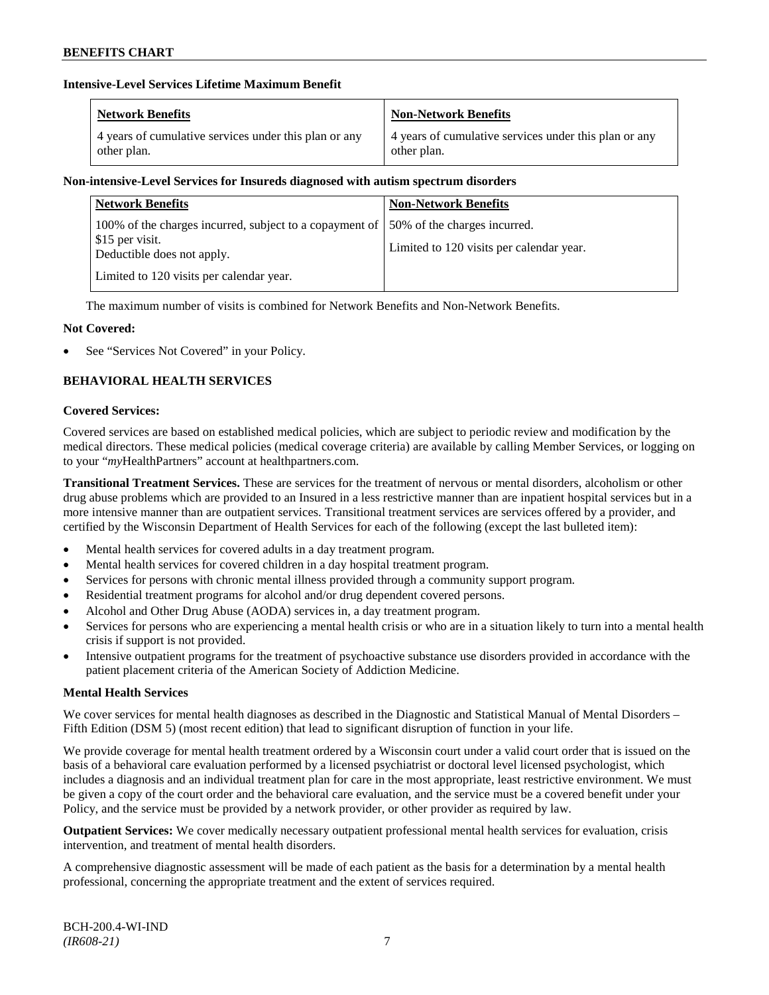### **Intensive-Level Services Lifetime Maximum Benefit**

| <b>Network Benefits</b>                               | <b>Non-Network Benefits</b>                           |
|-------------------------------------------------------|-------------------------------------------------------|
| 4 years of cumulative services under this plan or any | 4 years of cumulative services under this plan or any |
| other plan.                                           | other plan.                                           |

### **Non-intensive-Level Services for Insureds diagnosed with autism spectrum disorders**

| <b>Network Benefits</b>                                                                                    | <b>Non-Network Benefits</b>                                              |
|------------------------------------------------------------------------------------------------------------|--------------------------------------------------------------------------|
| 100% of the charges incurred, subject to a copayment of  <br>\$15 per visit.<br>Deductible does not apply. | 50% of the charges incurred.<br>Limited to 120 visits per calendar year. |
| Limited to 120 visits per calendar year.                                                                   |                                                                          |

The maximum number of visits is combined for Network Benefits and Non-Network Benefits.

### **Not Covered:**

See "Services Not Covered" in your Policy.

### **BEHAVIORAL HEALTH SERVICES**

#### **Covered Services:**

Covered services are based on established medical policies, which are subject to periodic review and modification by the medical directors. These medical policies (medical coverage criteria) are available by calling Member Services, or logging on to your "*my*HealthPartners" account at [healthpartners.com.](http://www.healthpartners.com/)

**Transitional Treatment Services.** These are services for the treatment of nervous or mental disorders, alcoholism or other drug abuse problems which are provided to an Insured in a less restrictive manner than are inpatient hospital services but in a more intensive manner than are outpatient services. Transitional treatment services are services offered by a provider, and certified by the Wisconsin Department of Health Services for each of the following (except the last bulleted item):

- Mental health services for covered adults in a day treatment program.
- Mental health services for covered children in a day hospital treatment program.
- Services for persons with chronic mental illness provided through a community support program.
- Residential treatment programs for alcohol and/or drug dependent covered persons.
- Alcohol and Other Drug Abuse (AODA) services in, a day treatment program.
- Services for persons who are experiencing a mental health crisis or who are in a situation likely to turn into a mental health crisis if support is not provided.
- Intensive outpatient programs for the treatment of psychoactive substance use disorders provided in accordance with the patient placement criteria of the American Society of Addiction Medicine.

### **Mental Health Services**

We cover services for mental health diagnoses as described in the Diagnostic and Statistical Manual of Mental Disorders – Fifth Edition (DSM 5) (most recent edition) that lead to significant disruption of function in your life.

We provide coverage for mental health treatment ordered by a Wisconsin court under a valid court order that is issued on the basis of a behavioral care evaluation performed by a licensed psychiatrist or doctoral level licensed psychologist, which includes a diagnosis and an individual treatment plan for care in the most appropriate, least restrictive environment. We must be given a copy of the court order and the behavioral care evaluation, and the service must be a covered benefit under your Policy, and the service must be provided by a network provider, or other provider as required by law.

**Outpatient Services:** We cover medically necessary outpatient professional mental health services for evaluation, crisis intervention, and treatment of mental health disorders.

A comprehensive diagnostic assessment will be made of each patient as the basis for a determination by a mental health professional, concerning the appropriate treatment and the extent of services required.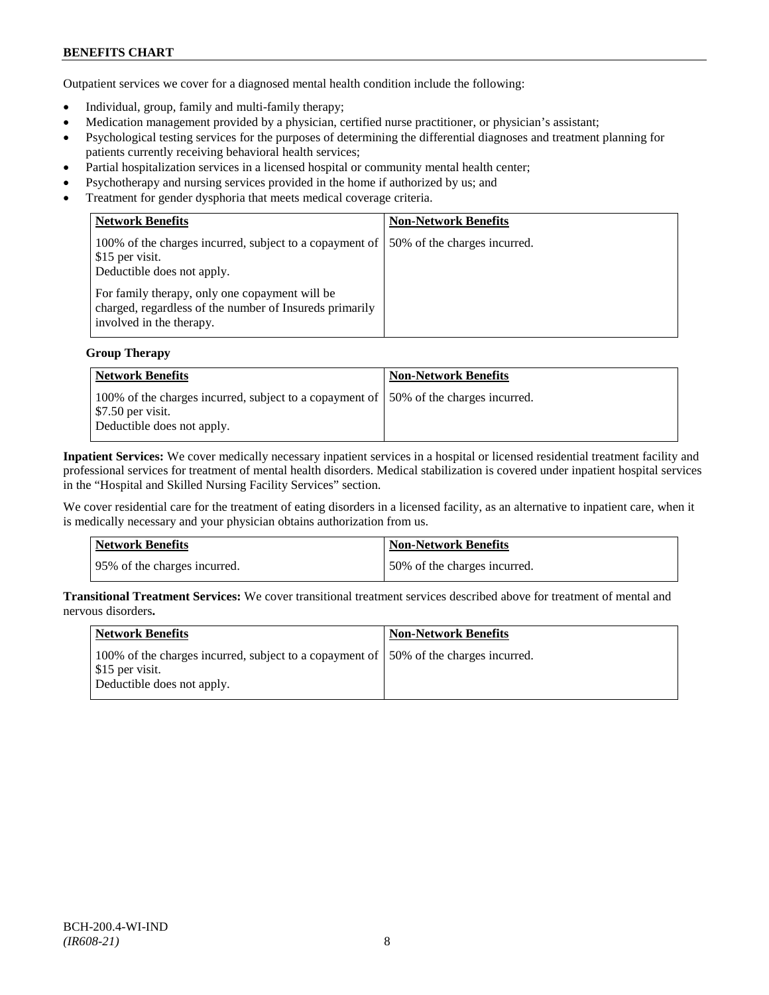# **BENEFITS CHART**

Outpatient services we cover for a diagnosed mental health condition include the following:

- Individual, group, family and multi-family therapy;
- Medication management provided by a physician, certified nurse practitioner, or physician's assistant;
- Psychological testing services for the purposes of determining the differential diagnoses and treatment planning for patients currently receiving behavioral health services;
- Partial hospitalization services in a licensed hospital or community mental health center;
- Psychotherapy and nursing services provided in the home if authorized by us; and
- Treatment for gender dysphoria that meets medical coverage criteria.

| <b>Network Benefits</b>                                                                                                               | <b>Non-Network Benefits</b>  |
|---------------------------------------------------------------------------------------------------------------------------------------|------------------------------|
| 100% of the charges incurred, subject to a copayment of<br>\$15 per visit.<br>Deductible does not apply.                              | 50% of the charges incurred. |
| For family therapy, only one copayment will be<br>charged, regardless of the number of Insureds primarily<br>involved in the therapy. |                              |

#### **Group Therapy**

| Network Benefits                                                                                                                                      | <b>Non-Network Benefits</b> |
|-------------------------------------------------------------------------------------------------------------------------------------------------------|-----------------------------|
| 100% of the charges incurred, subject to a copayment of 50% of the charges incurred.<br>$\frac{1}{2}$ \$7.50 per visit.<br>Deductible does not apply. |                             |

**Inpatient Services:** We cover medically necessary inpatient services in a hospital or licensed residential treatment facility and professional services for treatment of mental health disorders. Medical stabilization is covered under inpatient hospital services in the "Hospital and Skilled Nursing Facility Services" section.

We cover residential care for the treatment of eating disorders in a licensed facility, as an alternative to inpatient care, when it is medically necessary and your physician obtains authorization from us.

| <b>Network Benefits</b>      | <b>Non-Network Benefits</b>  |
|------------------------------|------------------------------|
| 95% of the charges incurred. | 50% of the charges incurred. |

**Transitional Treatment Services:** We cover transitional treatment services described above for treatment of mental and nervous disorders**.**

| Network Benefits                                                                                                                       | <b>Non-Network Benefits</b> |
|----------------------------------------------------------------------------------------------------------------------------------------|-----------------------------|
| 100% of the charges incurred, subject to a copayment of 150% of the charges incurred.<br>\$15 per visit.<br>Deductible does not apply. |                             |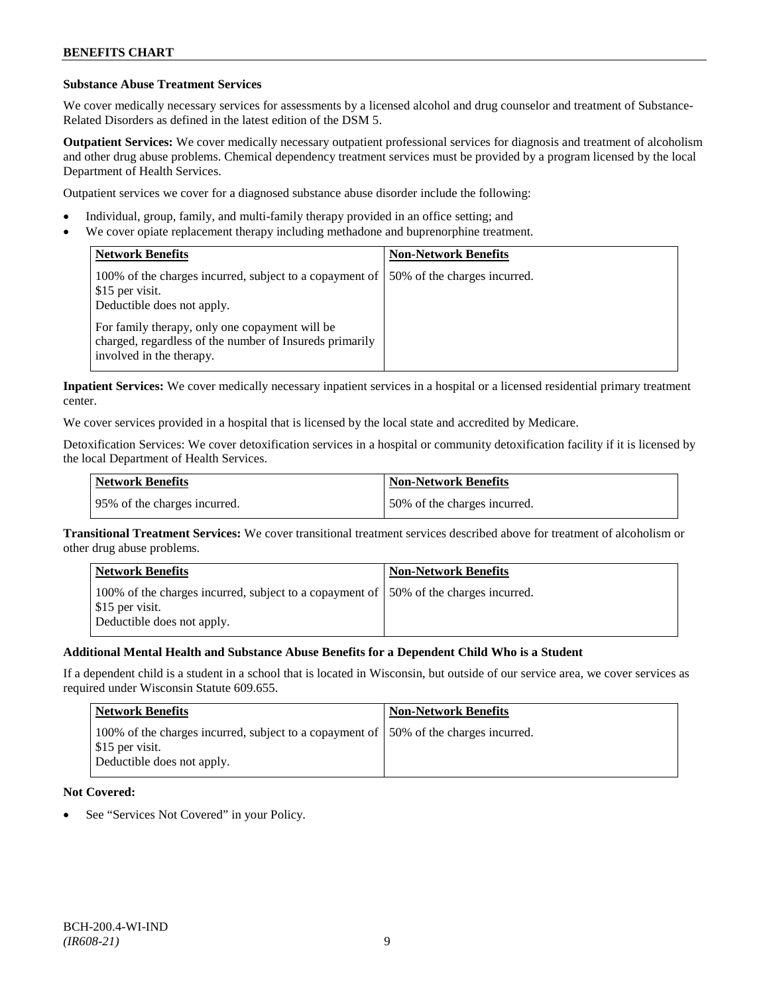### **Substance Abuse Treatment Services**

We cover medically necessary services for assessments by a licensed alcohol and drug counselor and treatment of Substance-Related Disorders as defined in the latest edition of the DSM 5.

**Outpatient Services:** We cover medically necessary outpatient professional services for diagnosis and treatment of alcoholism and other drug abuse problems. Chemical dependency treatment services must be provided by a program licensed by the local Department of Health Services.

Outpatient services we cover for a diagnosed substance abuse disorder include the following:

- Individual, group, family, and multi-family therapy provided in an office setting; and
- We cover opiate replacement therapy including methadone and buprenorphine treatment.

| <b>Network Benefits</b>                                                                                                               | <b>Non-Network Benefits</b>  |
|---------------------------------------------------------------------------------------------------------------------------------------|------------------------------|
| 100% of the charges incurred, subject to a copayment of<br>\$15 per visit.<br>Deductible does not apply.                              | 50% of the charges incurred. |
| For family therapy, only one copayment will be<br>charged, regardless of the number of Insureds primarily<br>involved in the therapy. |                              |

**Inpatient Services:** We cover medically necessary inpatient services in a hospital or a licensed residential primary treatment center.

We cover services provided in a hospital that is licensed by the local state and accredited by Medicare.

Detoxification Services: We cover detoxification services in a hospital or community detoxification facility if it is licensed by the local Department of Health Services.

| <b>Network Benefits</b>      | <b>Non-Network Benefits</b>  |
|------------------------------|------------------------------|
| 95% of the charges incurred. | 50% of the charges incurred. |

**Transitional Treatment Services:** We cover transitional treatment services described above for treatment of alcoholism or other drug abuse problems.

| <b>Network Benefits</b>                                                                                                                | <b>Non-Network Benefits</b> |
|----------------------------------------------------------------------------------------------------------------------------------------|-----------------------------|
| 100% of the charges incurred, subject to a copayment of 150% of the charges incurred.<br>\$15 per visit.<br>Deductible does not apply. |                             |

### **Additional Mental Health and Substance Abuse Benefits for a Dependent Child Who is a Student**

If a dependent child is a student in a school that is located in Wisconsin, but outside of our service area, we cover services as required under Wisconsin Statute 609.655.

| <b>Network Benefits</b>                                                                                                                | <b>Non-Network Benefits</b> |
|----------------------------------------------------------------------------------------------------------------------------------------|-----------------------------|
| 100% of the charges incurred, subject to a copayment of 150% of the charges incurred.<br>\$15 per visit.<br>Deductible does not apply. |                             |

### **Not Covered:**

See "Services Not Covered" in your Policy.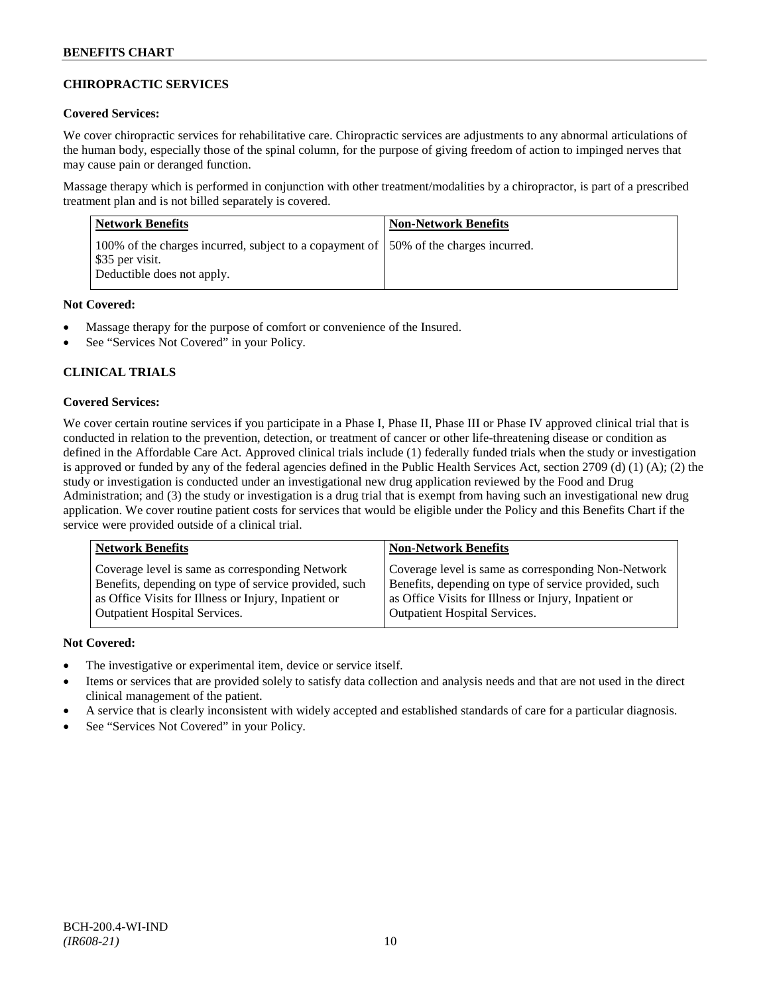### **CHIROPRACTIC SERVICES**

### **Covered Services:**

We cover chiropractic services for rehabilitative care. Chiropractic services are adjustments to any abnormal articulations of the human body, especially those of the spinal column, for the purpose of giving freedom of action to impinged nerves that may cause pain or deranged function.

Massage therapy which is performed in conjunction with other treatment/modalities by a chiropractor, is part of a prescribed treatment plan and is not billed separately is covered.

| <b>Network Benefits</b>                                                                                                                | <b>Non-Network Benefits</b> |
|----------------------------------------------------------------------------------------------------------------------------------------|-----------------------------|
| 100% of the charges incurred, subject to a copayment of 150% of the charges incurred.<br>\$35 per visit.<br>Deductible does not apply. |                             |

### **Not Covered:**

- Massage therapy for the purpose of comfort or convenience of the Insured.
- See "Services Not Covered" in your Policy.

### **CLINICAL TRIALS**

### **Covered Services:**

We cover certain routine services if you participate in a Phase I, Phase II, Phase III or Phase IV approved clinical trial that is conducted in relation to the prevention, detection, or treatment of cancer or other life-threatening disease or condition as defined in the Affordable Care Act. Approved clinical trials include (1) federally funded trials when the study or investigation is approved or funded by any of the federal agencies defined in the Public Health Services Act, section 2709 (d) (1) (A); (2) the study or investigation is conducted under an investigational new drug application reviewed by the Food and Drug Administration; and (3) the study or investigation is a drug trial that is exempt from having such an investigational new drug application. We cover routine patient costs for services that would be eligible under the Policy and this Benefits Chart if the service were provided outside of a clinical trial.

| <b>Network Benefits</b>                               | <b>Non-Network Benefits</b>                           |
|-------------------------------------------------------|-------------------------------------------------------|
| Coverage level is same as corresponding Network       | Coverage level is same as corresponding Non-Network   |
| Benefits, depending on type of service provided, such | Benefits, depending on type of service provided, such |
| as Office Visits for Illness or Injury, Inpatient or  | as Office Visits for Illness or Injury, Inpatient or  |
| <b>Outpatient Hospital Services.</b>                  | <b>Outpatient Hospital Services.</b>                  |

### **Not Covered:**

- The investigative or experimental item, device or service itself.
- Items or services that are provided solely to satisfy data collection and analysis needs and that are not used in the direct clinical management of the patient.
- A service that is clearly inconsistent with widely accepted and established standards of care for a particular diagnosis.
- See "Services Not Covered" in your Policy.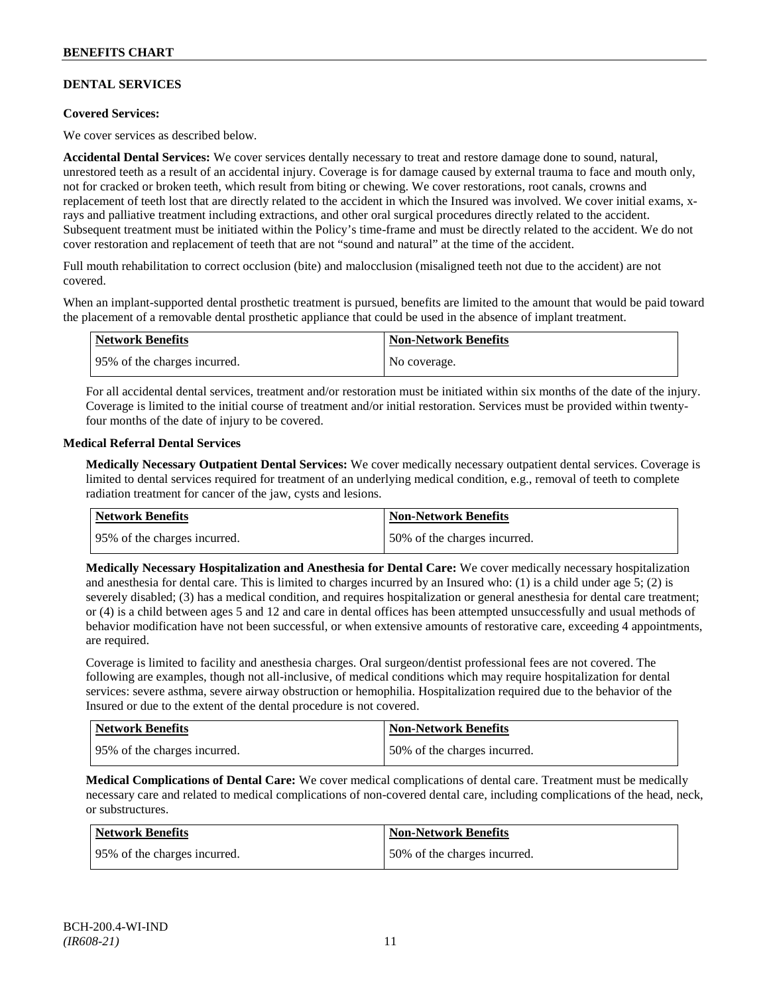### **DENTAL SERVICES**

### **Covered Services:**

We cover services as described below.

**Accidental Dental Services:** We cover services dentally necessary to treat and restore damage done to sound, natural, unrestored teeth as a result of an accidental injury. Coverage is for damage caused by external trauma to face and mouth only, not for cracked or broken teeth, which result from biting or chewing. We cover restorations, root canals, crowns and replacement of teeth lost that are directly related to the accident in which the Insured was involved. We cover initial exams, xrays and palliative treatment including extractions, and other oral surgical procedures directly related to the accident. Subsequent treatment must be initiated within the Policy's time-frame and must be directly related to the accident. We do not cover restoration and replacement of teeth that are not "sound and natural" at the time of the accident.

Full mouth rehabilitation to correct occlusion (bite) and malocclusion (misaligned teeth not due to the accident) are not covered.

When an implant-supported dental prosthetic treatment is pursued, benefits are limited to the amount that would be paid toward the placement of a removable dental prosthetic appliance that could be used in the absence of implant treatment.

| Network Benefits             | <b>Non-Network Benefits</b> |
|------------------------------|-----------------------------|
| 95% of the charges incurred. | No coverage.                |

For all accidental dental services, treatment and/or restoration must be initiated within six months of the date of the injury. Coverage is limited to the initial course of treatment and/or initial restoration. Services must be provided within twentyfour months of the date of injury to be covered.

#### **Medical Referral Dental Services**

**Medically Necessary Outpatient Dental Services:** We cover medically necessary outpatient dental services. Coverage is limited to dental services required for treatment of an underlying medical condition, e.g., removal of teeth to complete radiation treatment for cancer of the jaw, cysts and lesions.

| Network Benefits             | <b>Non-Network Benefits</b>  |
|------------------------------|------------------------------|
| 95% of the charges incurred. | 50% of the charges incurred. |

**Medically Necessary Hospitalization and Anesthesia for Dental Care:** We cover medically necessary hospitalization and anesthesia for dental care. This is limited to charges incurred by an Insured who: (1) is a child under age  $5$ ; (2) is severely disabled; (3) has a medical condition, and requires hospitalization or general anesthesia for dental care treatment; or (4) is a child between ages 5 and 12 and care in dental offices has been attempted unsuccessfully and usual methods of behavior modification have not been successful, or when extensive amounts of restorative care, exceeding 4 appointments, are required.

Coverage is limited to facility and anesthesia charges. Oral surgeon/dentist professional fees are not covered. The following are examples, though not all-inclusive, of medical conditions which may require hospitalization for dental services: severe asthma, severe airway obstruction or hemophilia. Hospitalization required due to the behavior of the Insured or due to the extent of the dental procedure is not covered.

| Network Benefits             | <b>Non-Network Benefits</b>   |
|------------------------------|-------------------------------|
| 95% of the charges incurred. | 150% of the charges incurred. |

**Medical Complications of Dental Care:** We cover medical complications of dental care. Treatment must be medically necessary care and related to medical complications of non-covered dental care, including complications of the head, neck, or substructures.

| <b>Network Benefits</b>      | <b>Non-Network Benefits</b>  |
|------------------------------|------------------------------|
| 95% of the charges incurred. | 50% of the charges incurred. |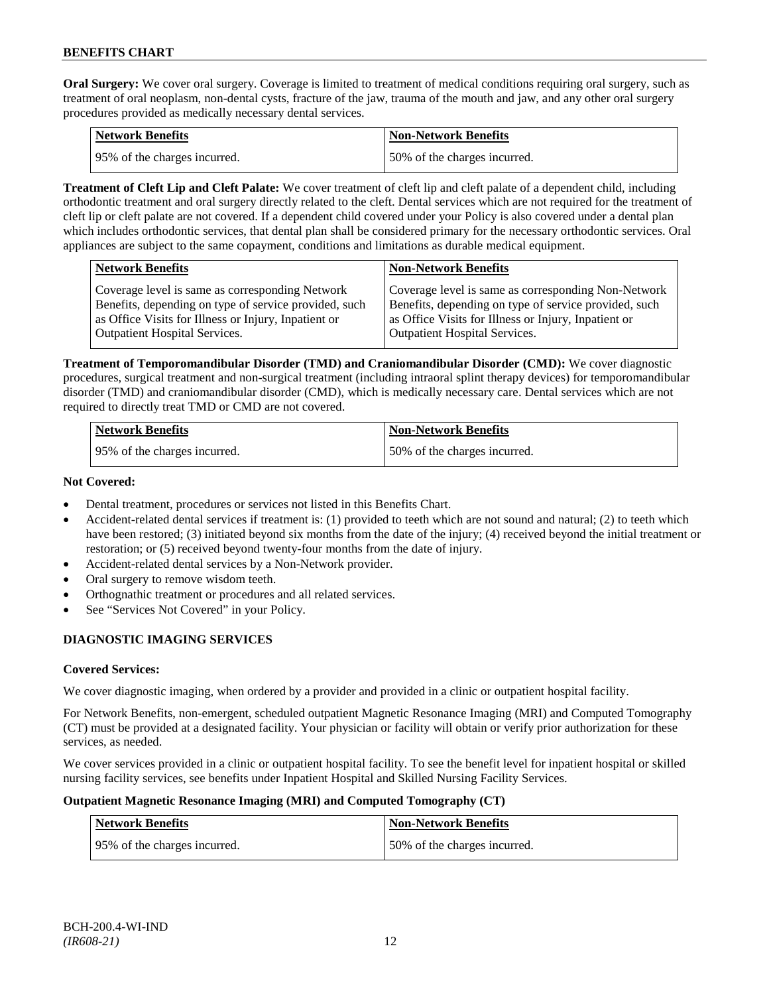**Oral Surgery:** We cover oral surgery. Coverage is limited to treatment of medical conditions requiring oral surgery, such as treatment of oral neoplasm, non-dental cysts, fracture of the jaw, trauma of the mouth and jaw, and any other oral surgery procedures provided as medically necessary dental services.

| Network Benefits             | <b>Non-Network Benefits</b>  |
|------------------------------|------------------------------|
| 95% of the charges incurred. | 50% of the charges incurred. |

**Treatment of Cleft Lip and Cleft Palate:** We cover treatment of cleft lip and cleft palate of a dependent child, including orthodontic treatment and oral surgery directly related to the cleft. Dental services which are not required for the treatment of cleft lip or cleft palate are not covered. If a dependent child covered under your Policy is also covered under a dental plan which includes orthodontic services, that dental plan shall be considered primary for the necessary orthodontic services. Oral appliances are subject to the same copayment, conditions and limitations as durable medical equipment.

|                                                                                                                                                                                                                                                                                                         | <b>Network Benefits</b>                         | <b>Non-Network Benefits</b>                         |
|---------------------------------------------------------------------------------------------------------------------------------------------------------------------------------------------------------------------------------------------------------------------------------------------------------|-------------------------------------------------|-----------------------------------------------------|
| Benefits, depending on type of service provided, such<br>Benefits, depending on type of service provided, such<br>as Office Visits for Illness or Injury, Inpatient or<br>as Office Visits for Illness or Injury, Inpatient or<br>Outpatient Hospital Services.<br><b>Outpatient Hospital Services.</b> | Coverage level is same as corresponding Network | Coverage level is same as corresponding Non-Network |

**Treatment of Temporomandibular Disorder (TMD) and Craniomandibular Disorder (CMD):** We cover diagnostic procedures, surgical treatment and non-surgical treatment (including intraoral splint therapy devices) for temporomandibular disorder (TMD) and craniomandibular disorder (CMD), which is medically necessary care. Dental services which are not required to directly treat TMD or CMD are not covered.

| <b>Network Benefits</b>      | <b>Non-Network Benefits</b>  |
|------------------------------|------------------------------|
| 95% of the charges incurred. | 50% of the charges incurred. |

### **Not Covered:**

- Dental treatment, procedures or services not listed in this Benefits Chart.
- Accident-related dental services if treatment is: (1) provided to teeth which are not sound and natural; (2) to teeth which have been restored; (3) initiated beyond six months from the date of the injury; (4) received beyond the initial treatment or restoration; or (5) received beyond twenty-four months from the date of injury.
- Accident-related dental services by a Non-Network provider.
- Oral surgery to remove wisdom teeth.
- Orthognathic treatment or procedures and all related services.
- See "Services Not Covered" in your Policy.

# **DIAGNOSTIC IMAGING SERVICES**

### **Covered Services:**

We cover diagnostic imaging, when ordered by a provider and provided in a clinic or outpatient hospital facility.

For Network Benefits, non-emergent, scheduled outpatient Magnetic Resonance Imaging (MRI) and Computed Tomography (CT) must be provided at a designated facility. Your physician or facility will obtain or verify prior authorization for these services, as needed.

We cover services provided in a clinic or outpatient hospital facility. To see the benefit level for inpatient hospital or skilled nursing facility services, see benefits under Inpatient Hospital and Skilled Nursing Facility Services.

### **Outpatient Magnetic Resonance Imaging (MRI) and Computed Tomography (CT)**

| <b>Network Benefits</b>      | <b>Non-Network Benefits</b>  |
|------------------------------|------------------------------|
| 95% of the charges incurred. | 50% of the charges incurred. |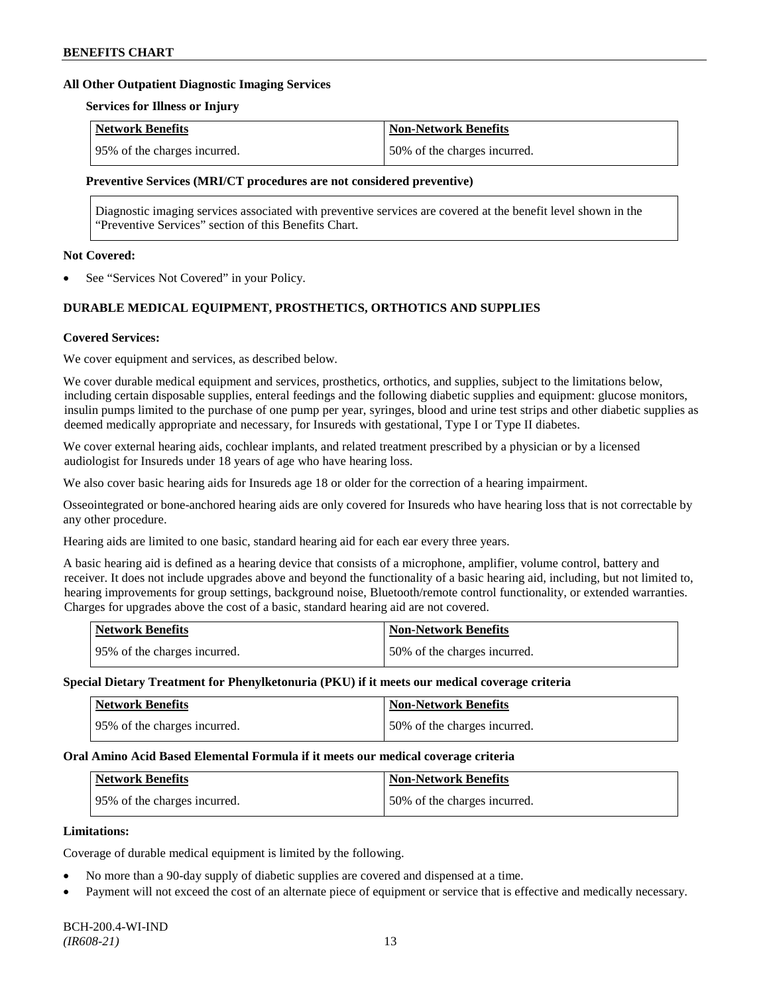#### **All Other Outpatient Diagnostic Imaging Services**

#### **Services for Illness or Injury**

| Network Benefits             | <b>Non-Network Benefits</b>  |
|------------------------------|------------------------------|
| 95% of the charges incurred. | 50% of the charges incurred. |

#### **Preventive Services (MRI/CT procedures are not considered preventive)**

Diagnostic imaging services associated with preventive services are covered at the benefit level shown in the "Preventive Services" section of this Benefits Chart.

### **Not Covered:**

See "Services Not Covered" in your Policy.

### **DURABLE MEDICAL EQUIPMENT, PROSTHETICS, ORTHOTICS AND SUPPLIES**

#### **Covered Services:**

We cover equipment and services, as described below.

We cover durable medical equipment and services, prosthetics, orthotics, and supplies, subject to the limitations below, including certain disposable supplies, enteral feedings and the following diabetic supplies and equipment: glucose monitors, insulin pumps limited to the purchase of one pump per year, syringes, blood and urine test strips and other diabetic supplies as deemed medically appropriate and necessary, for Insureds with gestational, Type I or Type II diabetes.

We cover external hearing aids, cochlear implants, and related treatment prescribed by a physician or by a licensed audiologist for Insureds under 18 years of age who have hearing loss.

We also cover basic hearing aids for Insureds age 18 or older for the correction of a hearing impairment.

Osseointegrated or bone-anchored hearing aids are only covered for Insureds who have hearing loss that is not correctable by any other procedure.

Hearing aids are limited to one basic, standard hearing aid for each ear every three years.

A basic hearing aid is defined as a hearing device that consists of a microphone, amplifier, volume control, battery and receiver. It does not include upgrades above and beyond the functionality of a basic hearing aid, including, but not limited to, hearing improvements for group settings, background noise, Bluetooth/remote control functionality, or extended warranties. Charges for upgrades above the cost of a basic, standard hearing aid are not covered.

| <b>Network Benefits</b>       | <b>Non-Network Benefits</b>  |
|-------------------------------|------------------------------|
| 195% of the charges incurred. | 50% of the charges incurred. |

#### **Special Dietary Treatment for Phenylketonuria (PKU) if it meets our medical coverage criteria**

| <b>Network Benefits</b>      | <b>Non-Network Benefits</b>  |
|------------------------------|------------------------------|
| 95% of the charges incurred. | 50% of the charges incurred. |

#### **Oral Amino Acid Based Elemental Formula if it meets our medical coverage criteria**

| <b>Network Benefits</b>      | Non-Network Benefits          |
|------------------------------|-------------------------------|
| 95% of the charges incurred. | 150% of the charges incurred. |

#### **Limitations:**

Coverage of durable medical equipment is limited by the following.

- No more than a 90-day supply of diabetic supplies are covered and dispensed at a time.
- Payment will not exceed the cost of an alternate piece of equipment or service that is effective and medically necessary.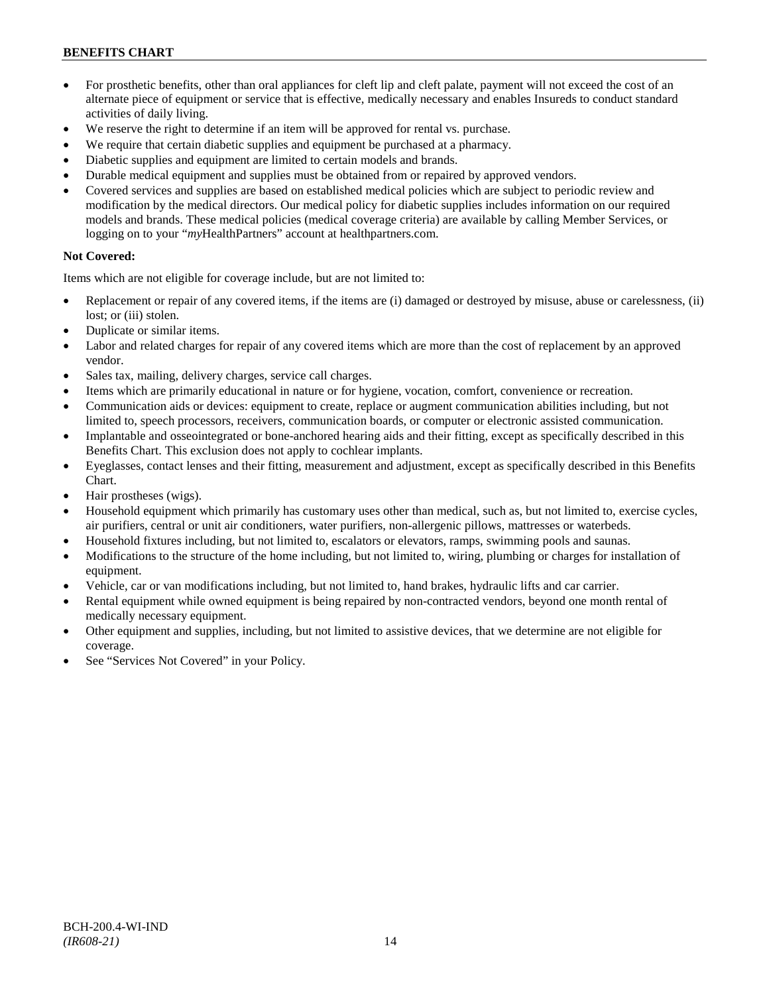# **BENEFITS CHART**

- For prosthetic benefits, other than oral appliances for cleft lip and cleft palate, payment will not exceed the cost of an alternate piece of equipment or service that is effective, medically necessary and enables Insureds to conduct standard activities of daily living.
- We reserve the right to determine if an item will be approved for rental vs. purchase.
- We require that certain diabetic supplies and equipment be purchased at a pharmacy.
- Diabetic supplies and equipment are limited to certain models and brands.
- Durable medical equipment and supplies must be obtained from or repaired by approved vendors.
- Covered services and supplies are based on established medical policies which are subject to periodic review and modification by the medical directors. Our medical policy for diabetic supplies includes information on our required models and brands. These medical policies (medical coverage criteria) are available by calling Member Services, or logging on to your "*my*HealthPartners" account at [healthpartners.com.](http://www.healthpartners.com/)

### **Not Covered:**

Items which are not eligible for coverage include, but are not limited to:

- Replacement or repair of any covered items, if the items are (i) damaged or destroyed by misuse, abuse or carelessness, (ii) lost; or (iii) stolen.
- Duplicate or similar items.
- Labor and related charges for repair of any covered items which are more than the cost of replacement by an approved vendor.
- Sales tax, mailing, delivery charges, service call charges.
- Items which are primarily educational in nature or for hygiene, vocation, comfort, convenience or recreation.
- Communication aids or devices: equipment to create, replace or augment communication abilities including, but not limited to, speech processors, receivers, communication boards, or computer or electronic assisted communication.
- Implantable and osseointegrated or bone-anchored hearing aids and their fitting, except as specifically described in this Benefits Chart. This exclusion does not apply to cochlear implants.
- Eyeglasses, contact lenses and their fitting, measurement and adjustment, except as specifically described in this Benefits Chart.
- Hair prostheses (wigs).
- Household equipment which primarily has customary uses other than medical, such as, but not limited to, exercise cycles, air purifiers, central or unit air conditioners, water purifiers, non-allergenic pillows, mattresses or waterbeds.
- Household fixtures including, but not limited to, escalators or elevators, ramps, swimming pools and saunas.
- Modifications to the structure of the home including, but not limited to, wiring, plumbing or charges for installation of equipment.
- Vehicle, car or van modifications including, but not limited to, hand brakes, hydraulic lifts and car carrier.
- Rental equipment while owned equipment is being repaired by non-contracted vendors, beyond one month rental of medically necessary equipment.
- Other equipment and supplies, including, but not limited to assistive devices, that we determine are not eligible for coverage.
- See "Services Not Covered" in your Policy.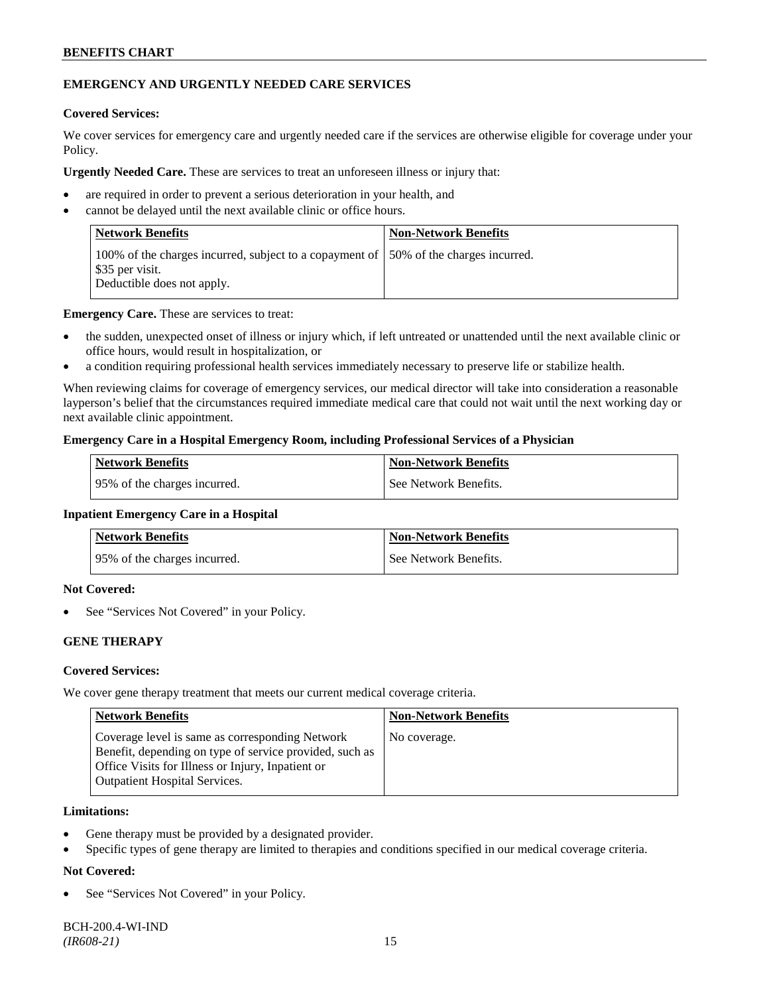### **BENEFITS CHART**

### **EMERGENCY AND URGENTLY NEEDED CARE SERVICES**

### **Covered Services:**

We cover services for emergency care and urgently needed care if the services are otherwise eligible for coverage under your Policy.

**Urgently Needed Care.** These are services to treat an unforeseen illness or injury that:

- are required in order to prevent a serious deterioration in your health, and
- cannot be delayed until the next available clinic or office hours.

| Network Benefits                                                                                                                       | <b>Non-Network Benefits</b> |
|----------------------------------------------------------------------------------------------------------------------------------------|-----------------------------|
| 100% of the charges incurred, subject to a copayment of 150% of the charges incurred.<br>\$35 per visit.<br>Deductible does not apply. |                             |

**Emergency Care.** These are services to treat:

- the sudden, unexpected onset of illness or injury which, if left untreated or unattended until the next available clinic or office hours, would result in hospitalization, or
- a condition requiring professional health services immediately necessary to preserve life or stabilize health.

When reviewing claims for coverage of emergency services, our medical director will take into consideration a reasonable layperson's belief that the circumstances required immediate medical care that could not wait until the next working day or next available clinic appointment.

#### **Emergency Care in a Hospital Emergency Room, including Professional Services of a Physician**

| Network Benefits              | <b>Non-Network Benefits</b> |
|-------------------------------|-----------------------------|
| 195% of the charges incurred. | See Network Benefits.       |

#### **Inpatient Emergency Care in a Hospital**

| <b>Network Benefits</b>      | <b>Non-Network Benefits</b> |
|------------------------------|-----------------------------|
| 95% of the charges incurred. | See Network Benefits.       |

### **Not Covered:**

See "Services Not Covered" in your Policy.

### **GENE THERAPY**

### **Covered Services:**

We cover gene therapy treatment that meets our current medical coverage criteria.

| <b>Network Benefits</b>                                                                                                                                                                                 | <b>Non-Network Benefits</b> |
|---------------------------------------------------------------------------------------------------------------------------------------------------------------------------------------------------------|-----------------------------|
| Coverage level is same as corresponding Network<br>Benefit, depending on type of service provided, such as<br>Office Visits for Illness or Injury, Inpatient or<br><b>Outpatient Hospital Services.</b> | No coverage.                |

### **Limitations:**

- Gene therapy must be provided by a designated provider.
- Specific types of gene therapy are limited to therapies and conditions specified in our medical coverage criteria.

### **Not Covered:**

See "Services Not Covered" in your Policy.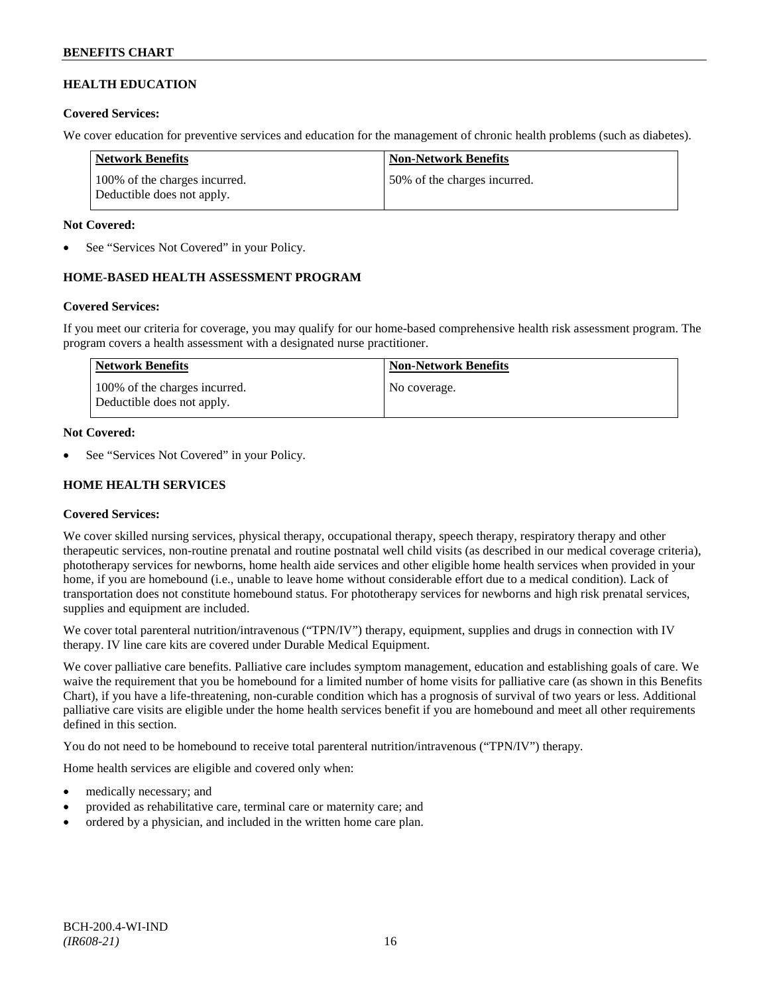### **HEALTH EDUCATION**

### **Covered Services:**

We cover education for preventive services and education for the management of chronic health problems (such as diabetes).

| Network Benefits                                            | <b>Non-Network Benefits</b>  |
|-------------------------------------------------------------|------------------------------|
| 100% of the charges incurred.<br>Deductible does not apply. | 50% of the charges incurred. |

### **Not Covered:**

See "Services Not Covered" in your Policy.

### **HOME-BASED HEALTH ASSESSMENT PROGRAM**

### **Covered Services:**

If you meet our criteria for coverage, you may qualify for our home-based comprehensive health risk assessment program. The program covers a health assessment with a designated nurse practitioner.

| <b>Network Benefits</b>                                     | <b>Non-Network Benefits</b> |
|-------------------------------------------------------------|-----------------------------|
| 100% of the charges incurred.<br>Deductible does not apply. | No coverage.                |

#### **Not Covered:**

See "Services Not Covered" in your Policy.

### **HOME HEALTH SERVICES**

### **Covered Services:**

We cover skilled nursing services, physical therapy, occupational therapy, speech therapy, respiratory therapy and other therapeutic services, non-routine prenatal and routine postnatal well child visits (as described in our medical coverage criteria), phototherapy services for newborns, home health aide services and other eligible home health services when provided in your home, if you are homebound (i.e., unable to leave home without considerable effort due to a medical condition). Lack of transportation does not constitute homebound status. For phototherapy services for newborns and high risk prenatal services, supplies and equipment are included.

We cover total parenteral nutrition/intravenous ("TPN/IV") therapy, equipment, supplies and drugs in connection with IV therapy. IV line care kits are covered under Durable Medical Equipment.

We cover palliative care benefits. Palliative care includes symptom management, education and establishing goals of care. We waive the requirement that you be homebound for a limited number of home visits for palliative care (as shown in this Benefits Chart), if you have a life-threatening, non-curable condition which has a prognosis of survival of two years or less. Additional palliative care visits are eligible under the home health services benefit if you are homebound and meet all other requirements defined in this section.

You do not need to be homebound to receive total parenteral nutrition/intravenous ("TPN/IV") therapy.

Home health services are eligible and covered only when:

- medically necessary; and
- provided as rehabilitative care, terminal care or maternity care; and
- ordered by a physician, and included in the written home care plan.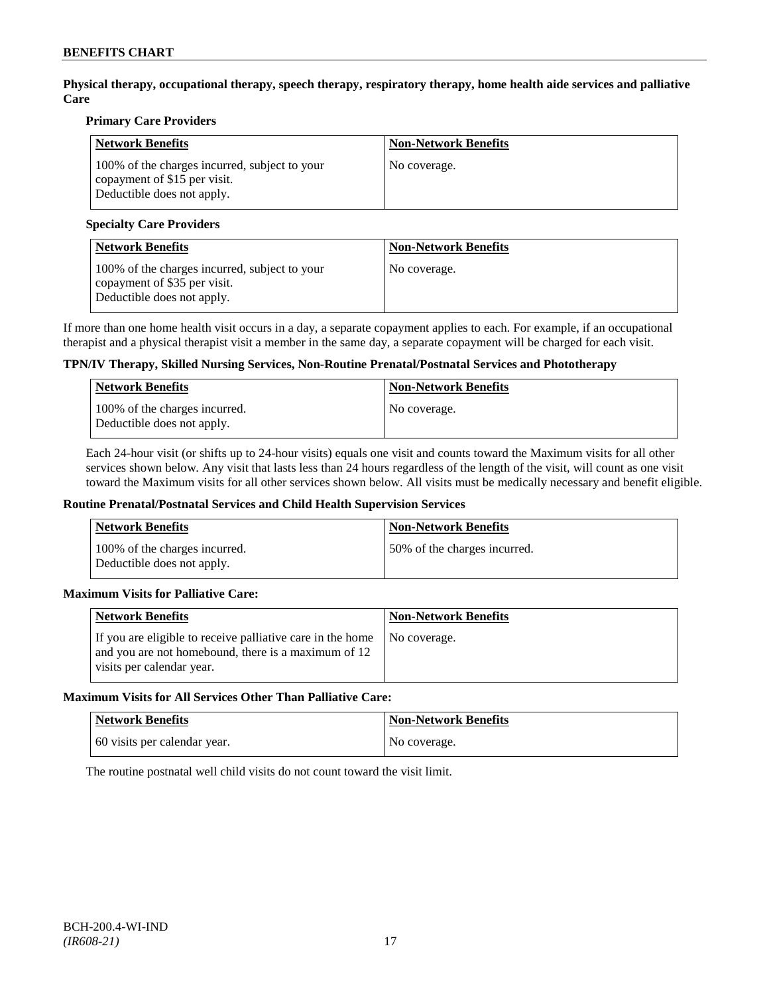**Physical therapy, occupational therapy, speech therapy, respiratory therapy, home health aide services and palliative Care**

### **Primary Care Providers**

| <b>Network Benefits</b>                                                                                     | <b>Non-Network Benefits</b> |
|-------------------------------------------------------------------------------------------------------------|-----------------------------|
| 100% of the charges incurred, subject to your<br>copayment of \$15 per visit.<br>Deductible does not apply. | No coverage.                |

### **Specialty Care Providers**

| <b>Network Benefits</b>                                                                                     | <b>Non-Network Benefits</b> |
|-------------------------------------------------------------------------------------------------------------|-----------------------------|
| 100% of the charges incurred, subject to your<br>copayment of \$35 per visit.<br>Deductible does not apply. | No coverage.                |

If more than one home health visit occurs in a day, a separate copayment applies to each. For example, if an occupational therapist and a physical therapist visit a member in the same day, a separate copayment will be charged for each visit.

### **TPN/IV Therapy, Skilled Nursing Services, Non-Routine Prenatal/Postnatal Services and Phototherapy**

| Network Benefits                                            | <b>Non-Network Benefits</b> |
|-------------------------------------------------------------|-----------------------------|
| 100% of the charges incurred.<br>Deductible does not apply. | No coverage.                |

Each 24-hour visit (or shifts up to 24-hour visits) equals one visit and counts toward the Maximum visits for all other services shown below. Any visit that lasts less than 24 hours regardless of the length of the visit, will count as one visit toward the Maximum visits for all other services shown below. All visits must be medically necessary and benefit eligible.

#### **Routine Prenatal/Postnatal Services and Child Health Supervision Services**

| Network Benefits                                            | <b>Non-Network Benefits</b>  |
|-------------------------------------------------------------|------------------------------|
| 100% of the charges incurred.<br>Deductible does not apply. | 50% of the charges incurred. |

### **Maximum Visits for Palliative Care:**

| Network Benefits                                                                                                                               | <b>Non-Network Benefits</b> |
|------------------------------------------------------------------------------------------------------------------------------------------------|-----------------------------|
| If you are eligible to receive palliative care in the home<br>and you are not homebound, there is a maximum of 12<br>visits per calendar year. | No coverage.                |

#### **Maximum Visits for All Services Other Than Palliative Care:**

| Network Benefits             | <b>Non-Network Benefits</b> |
|------------------------------|-----------------------------|
| 60 visits per calendar year. | No coverage.                |

The routine postnatal well child visits do not count toward the visit limit.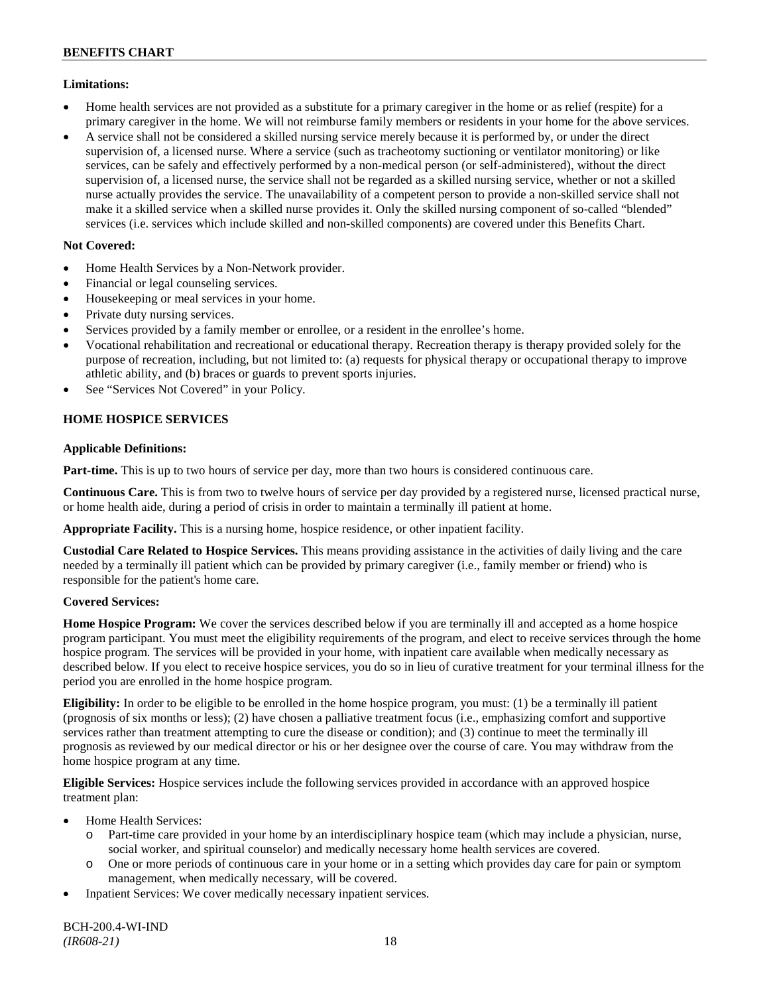### **Limitations:**

- Home health services are not provided as a substitute for a primary caregiver in the home or as relief (respite) for a primary caregiver in the home. We will not reimburse family members or residents in your home for the above services.
- A service shall not be considered a skilled nursing service merely because it is performed by, or under the direct supervision of, a licensed nurse. Where a service (such as tracheotomy suctioning or ventilator monitoring) or like services, can be safely and effectively performed by a non-medical person (or self-administered), without the direct supervision of, a licensed nurse, the service shall not be regarded as a skilled nursing service, whether or not a skilled nurse actually provides the service. The unavailability of a competent person to provide a non-skilled service shall not make it a skilled service when a skilled nurse provides it. Only the skilled nursing component of so-called "blended" services (i.e. services which include skilled and non-skilled components) are covered under this Benefits Chart.

### **Not Covered:**

- Home Health Services by a Non-Network provider.
- Financial or legal counseling services.
- Housekeeping or meal services in your home.
- Private duty nursing services.
- Services provided by a family member or enrollee, or a resident in the enrollee's home.
- Vocational rehabilitation and recreational or educational therapy. Recreation therapy is therapy provided solely for the purpose of recreation, including, but not limited to: (a) requests for physical therapy or occupational therapy to improve athletic ability, and (b) braces or guards to prevent sports injuries.
- See "Services Not Covered" in your Policy.

### **HOME HOSPICE SERVICES**

### **Applicable Definitions:**

**Part-time.** This is up to two hours of service per day, more than two hours is considered continuous care.

**Continuous Care.** This is from two to twelve hours of service per day provided by a registered nurse, licensed practical nurse, or home health aide, during a period of crisis in order to maintain a terminally ill patient at home.

**Appropriate Facility.** This is a nursing home, hospice residence, or other inpatient facility.

**Custodial Care Related to Hospice Services.** This means providing assistance in the activities of daily living and the care needed by a terminally ill patient which can be provided by primary caregiver (i.e., family member or friend) who is responsible for the patient's home care.

### **Covered Services:**

**Home Hospice Program:** We cover the services described below if you are terminally ill and accepted as a home hospice program participant. You must meet the eligibility requirements of the program, and elect to receive services through the home hospice program. The services will be provided in your home, with inpatient care available when medically necessary as described below. If you elect to receive hospice services, you do so in lieu of curative treatment for your terminal illness for the period you are enrolled in the home hospice program.

**Eligibility:** In order to be eligible to be enrolled in the home hospice program, you must: (1) be a terminally ill patient (prognosis of six months or less); (2) have chosen a palliative treatment focus (i.e., emphasizing comfort and supportive services rather than treatment attempting to cure the disease or condition); and (3) continue to meet the terminally ill prognosis as reviewed by our medical director or his or her designee over the course of care. You may withdraw from the home hospice program at any time.

**Eligible Services:** Hospice services include the following services provided in accordance with an approved hospice treatment plan:

- Home Health Services:
	- o Part-time care provided in your home by an interdisciplinary hospice team (which may include a physician, nurse, social worker, and spiritual counselor) and medically necessary home health services are covered.
	- o One or more periods of continuous care in your home or in a setting which provides day care for pain or symptom management, when medically necessary, will be covered.
- Inpatient Services: We cover medically necessary inpatient services.

BCH-200.4-WI-IND *(IR608-21)* 18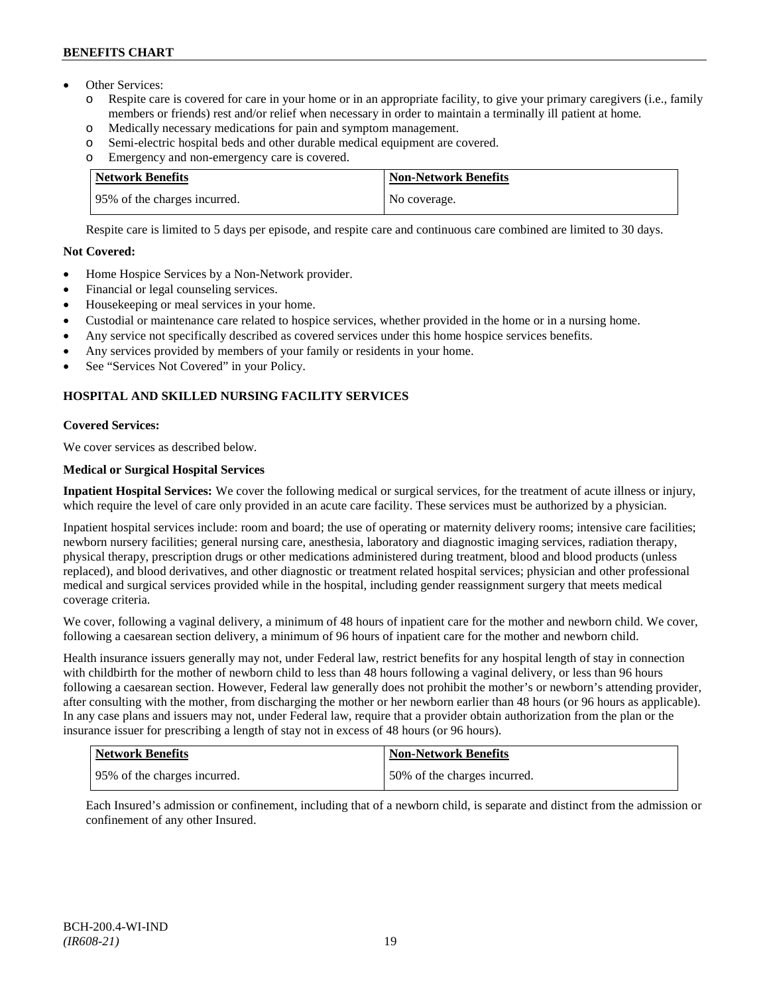# **BENEFITS CHART**

- Other Services:
	- o Respite care is covered for care in your home or in an appropriate facility, to give your primary caregivers (i.e., family members or friends) rest and/or relief when necessary in order to maintain a terminally ill patient at home*.*
	- o Medically necessary medications for pain and symptom management.
	- o Semi-electric hospital beds and other durable medical equipment are covered.
	- o Emergency and non-emergency care is covered.

| <b>Network Benefits</b>       | <b>Non-Network Benefits</b> |
|-------------------------------|-----------------------------|
| 195% of the charges incurred. | No coverage.                |

Respite care is limited to 5 days per episode, and respite care and continuous care combined are limited to 30 days.

### **Not Covered:**

- Home Hospice Services by a Non-Network provider.
- Financial or legal counseling services.
- Housekeeping or meal services in your home.
- Custodial or maintenance care related to hospice services, whether provided in the home or in a nursing home.
- Any service not specifically described as covered services under this home hospice services benefits.
- Any services provided by members of your family or residents in your home.
- See "Services Not Covered" in your Policy.

# **HOSPITAL AND SKILLED NURSING FACILITY SERVICES**

### **Covered Services:**

We cover services as described below.

### **Medical or Surgical Hospital Services**

**Inpatient Hospital Services:** We cover the following medical or surgical services, for the treatment of acute illness or injury, which require the level of care only provided in an acute care facility. These services must be authorized by a physician.

Inpatient hospital services include: room and board; the use of operating or maternity delivery rooms; intensive care facilities; newborn nursery facilities; general nursing care, anesthesia, laboratory and diagnostic imaging services, radiation therapy, physical therapy, prescription drugs or other medications administered during treatment, blood and blood products (unless replaced), and blood derivatives, and other diagnostic or treatment related hospital services; physician and other professional medical and surgical services provided while in the hospital, including gender reassignment surgery that meets medical coverage criteria.

We cover, following a vaginal delivery, a minimum of 48 hours of inpatient care for the mother and newborn child. We cover, following a caesarean section delivery, a minimum of 96 hours of inpatient care for the mother and newborn child.

Health insurance issuers generally may not, under Federal law, restrict benefits for any hospital length of stay in connection with childbirth for the mother of newborn child to less than 48 hours following a vaginal delivery, or less than 96 hours following a caesarean section. However, Federal law generally does not prohibit the mother's or newborn's attending provider, after consulting with the mother, from discharging the mother or her newborn earlier than 48 hours (or 96 hours as applicable). In any case plans and issuers may not, under Federal law, require that a provider obtain authorization from the plan or the insurance issuer for prescribing a length of stay not in excess of 48 hours (or 96 hours).

| Network Benefits              | <b>Non-Network Benefits</b>  |
|-------------------------------|------------------------------|
| 195% of the charges incurred. | 50% of the charges incurred. |

Each Insured's admission or confinement, including that of a newborn child, is separate and distinct from the admission or confinement of any other Insured.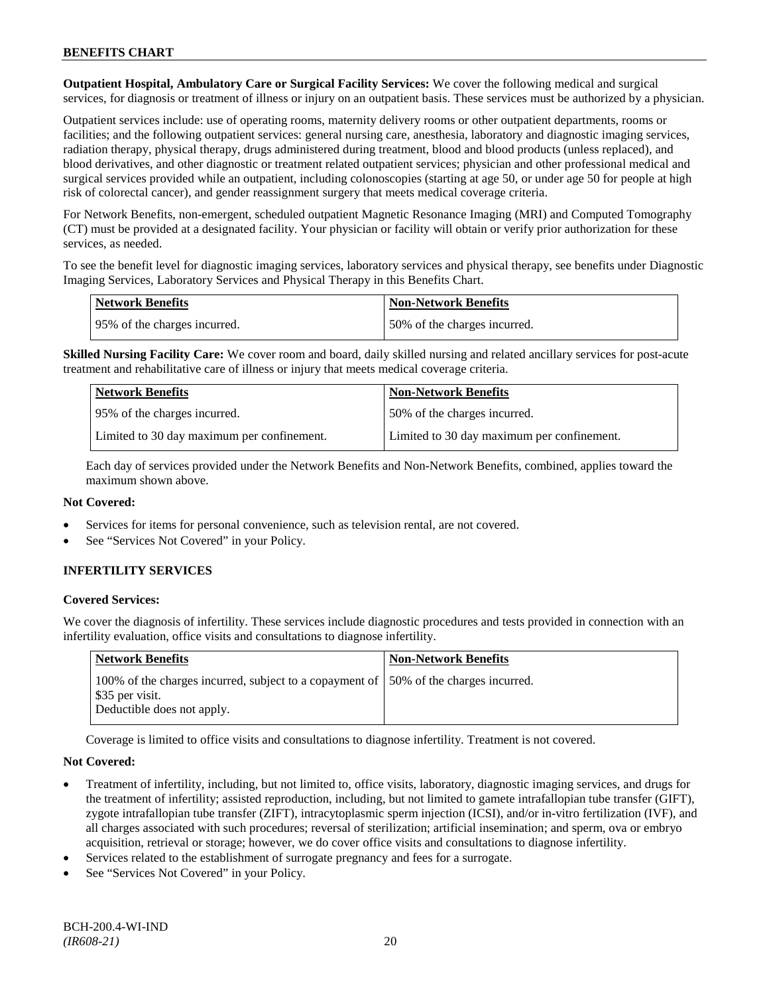**Outpatient Hospital, Ambulatory Care or Surgical Facility Services:** We cover the following medical and surgical services, for diagnosis or treatment of illness or injury on an outpatient basis. These services must be authorized by a physician.

Outpatient services include: use of operating rooms, maternity delivery rooms or other outpatient departments, rooms or facilities; and the following outpatient services: general nursing care, anesthesia, laboratory and diagnostic imaging services, radiation therapy, physical therapy, drugs administered during treatment, blood and blood products (unless replaced), and blood derivatives, and other diagnostic or treatment related outpatient services; physician and other professional medical and surgical services provided while an outpatient, including colonoscopies (starting at age 50, or under age 50 for people at high risk of colorectal cancer), and gender reassignment surgery that meets medical coverage criteria.

For Network Benefits, non-emergent, scheduled outpatient Magnetic Resonance Imaging (MRI) and Computed Tomography (CT) must be provided at a designated facility. Your physician or facility will obtain or verify prior authorization for these services, as needed.

To see the benefit level for diagnostic imaging services, laboratory services and physical therapy, see benefits under Diagnostic Imaging Services, Laboratory Services and Physical Therapy in this Benefits Chart.

| <b>Network Benefits</b>       | Non-Network Benefits         |
|-------------------------------|------------------------------|
| 195% of the charges incurred. | 50% of the charges incurred. |

**Skilled Nursing Facility Care:** We cover room and board, daily skilled nursing and related ancillary services for post-acute treatment and rehabilitative care of illness or injury that meets medical coverage criteria.

| <b>Network Benefits</b>                    | <b>Non-Network Benefits</b>                |
|--------------------------------------------|--------------------------------------------|
| 95% of the charges incurred.               | 50% of the charges incurred.               |
| Limited to 30 day maximum per confinement. | Limited to 30 day maximum per confinement. |

Each day of services provided under the Network Benefits and Non-Network Benefits, combined, applies toward the maximum shown above.

### **Not Covered:**

- Services for items for personal convenience, such as television rental, are not covered.
- See "Services Not Covered" in your Policy.

# **INFERTILITY SERVICES**

### **Covered Services:**

We cover the diagnosis of infertility. These services include diagnostic procedures and tests provided in connection with an infertility evaluation, office visits and consultations to diagnose infertility.

| <b>Network Benefits</b>                                                                                                                | <b>Non-Network Benefits</b> |
|----------------------------------------------------------------------------------------------------------------------------------------|-----------------------------|
| 100% of the charges incurred, subject to a copayment of 150% of the charges incurred.<br>\$35 per visit.<br>Deductible does not apply. |                             |

Coverage is limited to office visits and consultations to diagnose infertility. Treatment is not covered.

### **Not Covered:**

- Treatment of infertility, including, but not limited to, office visits, laboratory, diagnostic imaging services, and drugs for the treatment of infertility; assisted reproduction, including, but not limited to gamete intrafallopian tube transfer (GIFT), zygote intrafallopian tube transfer (ZIFT), intracytoplasmic sperm injection (ICSI), and/or in-vitro fertilization (IVF), and all charges associated with such procedures; reversal of sterilization; artificial insemination; and sperm, ova or embryo acquisition, retrieval or storage; however, we do cover office visits and consultations to diagnose infertility.
- Services related to the establishment of surrogate pregnancy and fees for a surrogate.
- See "Services Not Covered" in your Policy.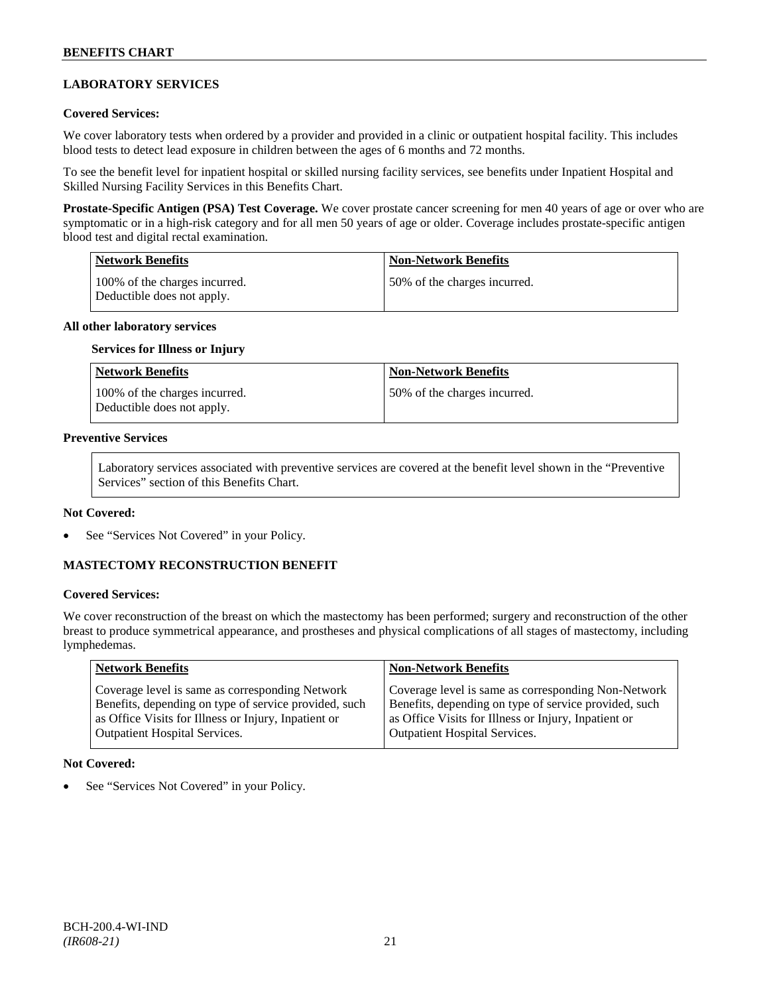# **LABORATORY SERVICES**

### **Covered Services:**

We cover laboratory tests when ordered by a provider and provided in a clinic or outpatient hospital facility. This includes blood tests to detect lead exposure in children between the ages of 6 months and 72 months.

To see the benefit level for inpatient hospital or skilled nursing facility services, see benefits under Inpatient Hospital and Skilled Nursing Facility Services in this Benefits Chart.

**Prostate-Specific Antigen (PSA) Test Coverage.** We cover prostate cancer screening for men 40 years of age or over who are symptomatic or in a high-risk category and for all men 50 years of age or older. Coverage includes prostate-specific antigen blood test and digital rectal examination.

| Network Benefits                                             | <b>Non-Network Benefits</b>  |
|--------------------------------------------------------------|------------------------------|
| 100\% of the charges incurred.<br>Deductible does not apply. | 50% of the charges incurred. |

#### **All other laboratory services**

#### **Services for Illness or Injury**

| <b>Network Benefits</b>                                     | <b>Non-Network Benefits</b>  |
|-------------------------------------------------------------|------------------------------|
| 100% of the charges incurred.<br>Deductible does not apply. | 50% of the charges incurred. |

#### **Preventive Services**

Laboratory services associated with preventive services are covered at the benefit level shown in the "Preventive Services" section of this Benefits Chart.

#### **Not Covered:**

See "Services Not Covered" in your Policy.

### **MASTECTOMY RECONSTRUCTION BENEFIT**

### **Covered Services:**

We cover reconstruction of the breast on which the mastectomy has been performed; surgery and reconstruction of the other breast to produce symmetrical appearance, and prostheses and physical complications of all stages of mastectomy, including lymphedemas.

| <b>Network Benefits</b>                               | <b>Non-Network Benefits</b>                           |
|-------------------------------------------------------|-------------------------------------------------------|
| Coverage level is same as corresponding Network       | Coverage level is same as corresponding Non-Network   |
| Benefits, depending on type of service provided, such | Benefits, depending on type of service provided, such |
| as Office Visits for Illness or Injury, Inpatient or  | as Office Visits for Illness or Injury, Inpatient or  |
| <b>Outpatient Hospital Services.</b>                  | Outpatient Hospital Services.                         |

#### **Not Covered:**

See "Services Not Covered" in your Policy.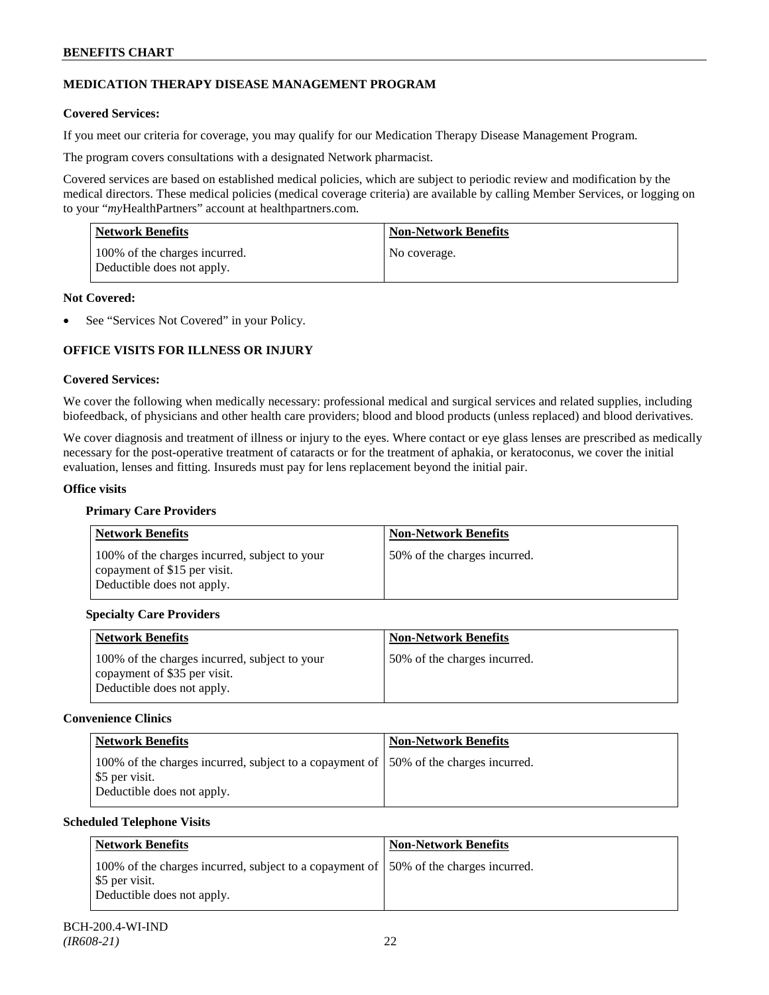# **MEDICATION THERAPY DISEASE MANAGEMENT PROGRAM**

### **Covered Services:**

If you meet our criteria for coverage, you may qualify for our Medication Therapy Disease Management Program.

The program covers consultations with a designated Network pharmacist.

Covered services are based on established medical policies, which are subject to periodic review and modification by the medical directors. These medical policies (medical coverage criteria) are available by calling Member Services, or logging on to your "*my*HealthPartners" account at [healthpartners.com.](http://www.healthpartners.com/)

| <b>Network Benefits</b>                                     | <b>Non-Network Benefits</b> |
|-------------------------------------------------------------|-----------------------------|
| 100% of the charges incurred.<br>Deductible does not apply. | No coverage.                |

#### **Not Covered:**

See "Services Not Covered" in your Policy.

### **OFFICE VISITS FOR ILLNESS OR INJURY**

#### **Covered Services:**

We cover the following when medically necessary: professional medical and surgical services and related supplies, including biofeedback, of physicians and other health care providers; blood and blood products (unless replaced) and blood derivatives.

We cover diagnosis and treatment of illness or injury to the eyes. Where contact or eye glass lenses are prescribed as medically necessary for the post-operative treatment of cataracts or for the treatment of aphakia, or keratoconus, we cover the initial evaluation, lenses and fitting. Insureds must pay for lens replacement beyond the initial pair.

#### **Office visits**

### **Primary Care Providers**

| <b>Network Benefits</b>                                                                                     | <b>Non-Network Benefits</b>  |
|-------------------------------------------------------------------------------------------------------------|------------------------------|
| 100% of the charges incurred, subject to your<br>copayment of \$15 per visit.<br>Deductible does not apply. | 50% of the charges incurred. |

### **Specialty Care Providers**

| <b>Network Benefits</b>                                                       | <b>Non-Network Benefits</b>  |
|-------------------------------------------------------------------------------|------------------------------|
| 100% of the charges incurred, subject to your<br>copayment of \$35 per visit. | 50% of the charges incurred. |
| Deductible does not apply.                                                    |                              |

### **Convenience Clinics**

| <b>Network Benefits</b>                                                                                                               | <b>Non-Network Benefits</b> |
|---------------------------------------------------------------------------------------------------------------------------------------|-----------------------------|
| 100% of the charges incurred, subject to a copayment of 150% of the charges incurred.<br>\$5 per visit.<br>Deductible does not apply. |                             |

### **Scheduled Telephone Visits**

| Network Benefits                                                                                                                      | <b>Non-Network Benefits</b> |
|---------------------------------------------------------------------------------------------------------------------------------------|-----------------------------|
| 100% of the charges incurred, subject to a copayment of 150% of the charges incurred.<br>\$5 per visit.<br>Deductible does not apply. |                             |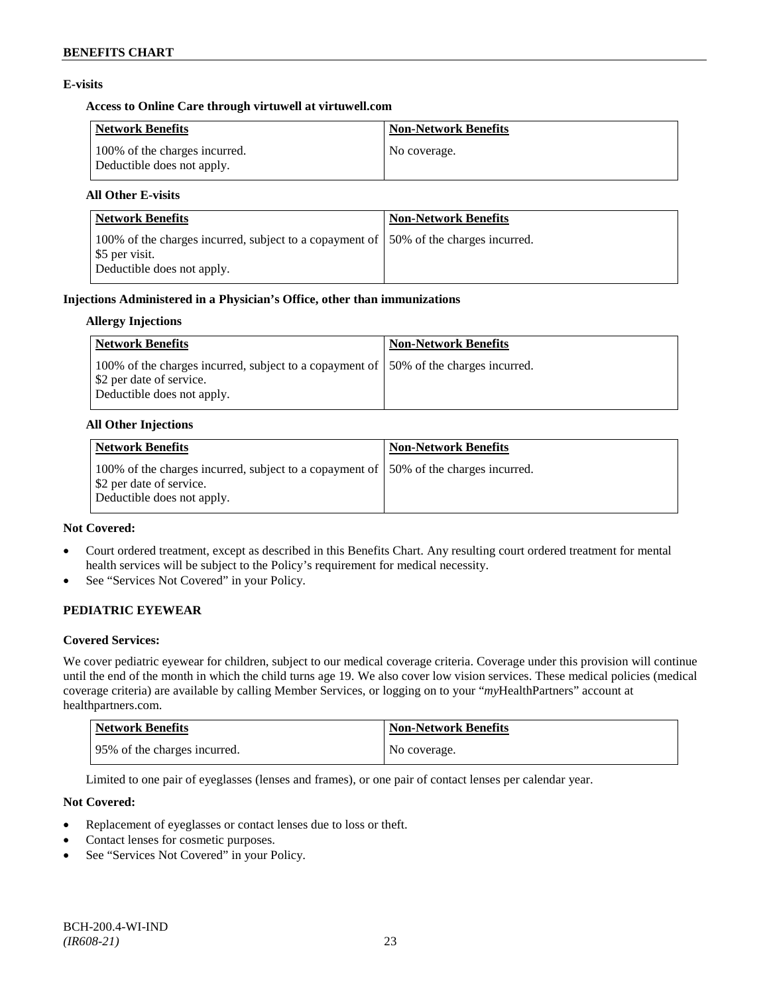### **E-visits**

### **Access to Online Care through virtuwell a[t virtuwell.com](http://www.virtuwell.com/)**

| <b>Network Benefits</b>                                     | <b>Non-Network Benefits</b> |
|-------------------------------------------------------------|-----------------------------|
| 100% of the charges incurred.<br>Deductible does not apply. | No coverage.                |

### **All Other E-visits**

| <b>Network Benefits</b>                                                                                                               | <b>Non-Network Benefits</b> |
|---------------------------------------------------------------------------------------------------------------------------------------|-----------------------------|
| 100% of the charges incurred, subject to a copayment of 150% of the charges incurred.<br>\$5 per visit.<br>Deductible does not apply. |                             |

#### **Injections Administered in a Physician's Office, other than immunizations**

#### **Allergy Injections**

| <b>Network Benefits</b>                                                                                                                              | <b>Non-Network Benefits</b> |
|------------------------------------------------------------------------------------------------------------------------------------------------------|-----------------------------|
| 100% of the charges incurred, subject to a copayment of 150% of the charges incurred.<br>Select 2 per date of service.<br>Deductible does not apply. |                             |

#### **All Other Injections**

| Network Benefits                                                                                                                                | <b>Non-Network Benefits</b> |
|-------------------------------------------------------------------------------------------------------------------------------------------------|-----------------------------|
| 100% of the charges incurred, subject to a copayment of 150% of the charges incurred.<br>\$2 per date of service.<br>Deductible does not apply. |                             |

### **Not Covered:**

- Court ordered treatment, except as described in this Benefits Chart. Any resulting court ordered treatment for mental health services will be subject to the Policy's requirement for medical necessity.
- See "Services Not Covered" in your Policy.

### **PEDIATRIC EYEWEAR**

### **Covered Services:**

We cover pediatric eyewear for children, subject to our medical coverage criteria. Coverage under this provision will continue until the end of the month in which the child turns age 19. We also cover low vision services. These medical policies (medical coverage criteria) are available by calling Member Services, or logging on to your "*my*HealthPartners" account at [healthpartners.com.](http://www.healthpartners.com/)

| <b>Network Benefits</b>      | <b>Non-Network Benefits</b> |
|------------------------------|-----------------------------|
| 95% of the charges incurred. | No coverage.                |

Limited to one pair of eyeglasses (lenses and frames), or one pair of contact lenses per calendar year.

### **Not Covered:**

- Replacement of eyeglasses or contact lenses due to loss or theft.
- Contact lenses for cosmetic purposes.
- See "Services Not Covered" in your Policy.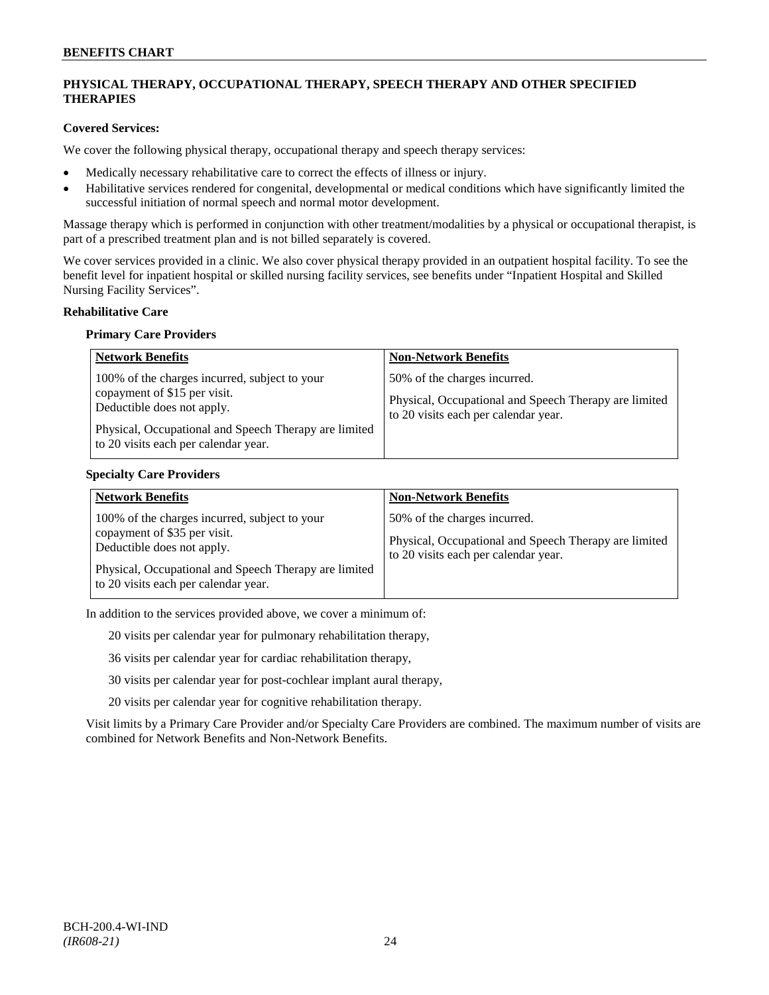### **PHYSICAL THERAPY, OCCUPATIONAL THERAPY, SPEECH THERAPY AND OTHER SPECIFIED THERAPIES**

### **Covered Services:**

We cover the following physical therapy, occupational therapy and speech therapy services:

- Medically necessary rehabilitative care to correct the effects of illness or injury.
- Habilitative services rendered for congenital, developmental or medical conditions which have significantly limited the successful initiation of normal speech and normal motor development.

Massage therapy which is performed in conjunction with other treatment/modalities by a physical or occupational therapist, is part of a prescribed treatment plan and is not billed separately is covered.

We cover services provided in a clinic. We also cover physical therapy provided in an outpatient hospital facility. To see the benefit level for inpatient hospital or skilled nursing facility services, see benefits under "Inpatient Hospital and Skilled Nursing Facility Services".

#### **Rehabilitative Care**

#### **Primary Care Providers**

| <b>Network Benefits</b>                                                                                                                                                                                      | <b>Non-Network Benefits</b>                                                                                                   |
|--------------------------------------------------------------------------------------------------------------------------------------------------------------------------------------------------------------|-------------------------------------------------------------------------------------------------------------------------------|
| 100% of the charges incurred, subject to your<br>copayment of \$15 per visit.<br>Deductible does not apply.<br>Physical, Occupational and Speech Therapy are limited<br>to 20 visits each per calendar year. | 50% of the charges incurred.<br>Physical, Occupational and Speech Therapy are limited<br>to 20 visits each per calendar year. |

#### **Specialty Care Providers**

| <b>Network Benefits</b>                                                                                                                                                                                      | <b>Non-Network Benefits</b>                                                                                                   |
|--------------------------------------------------------------------------------------------------------------------------------------------------------------------------------------------------------------|-------------------------------------------------------------------------------------------------------------------------------|
| 100% of the charges incurred, subject to your<br>copayment of \$35 per visit.<br>Deductible does not apply.<br>Physical, Occupational and Speech Therapy are limited<br>to 20 visits each per calendar year. | 50% of the charges incurred.<br>Physical, Occupational and Speech Therapy are limited<br>to 20 visits each per calendar year. |

In addition to the services provided above, we cover a minimum of:

20 visits per calendar year for pulmonary rehabilitation therapy,

36 visits per calendar year for cardiac rehabilitation therapy,

30 visits per calendar year for post-cochlear implant aural therapy,

20 visits per calendar year for cognitive rehabilitation therapy.

Visit limits by a Primary Care Provider and/or Specialty Care Providers are combined. The maximum number of visits are combined for Network Benefits and Non-Network Benefits.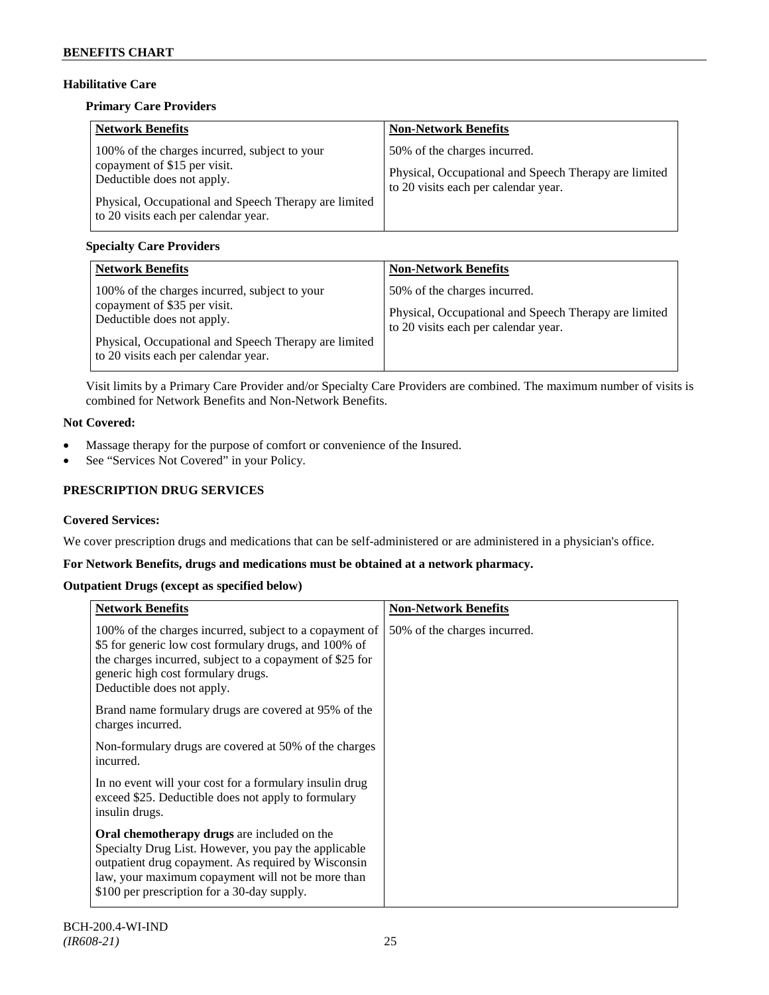# **Habilitative Care**

### **Primary Care Providers**

| <b>Network Benefits</b>                                                                                                                                                                                      | <b>Non-Network Benefits</b>                                                                                                   |
|--------------------------------------------------------------------------------------------------------------------------------------------------------------------------------------------------------------|-------------------------------------------------------------------------------------------------------------------------------|
| 100% of the charges incurred, subject to your<br>copayment of \$15 per visit.<br>Deductible does not apply.<br>Physical, Occupational and Speech Therapy are limited<br>to 20 visits each per calendar year. | 50% of the charges incurred.<br>Physical, Occupational and Speech Therapy are limited<br>to 20 visits each per calendar year. |

### **Specialty Care Providers**

| <b>Network Benefits</b>                                                                                                                                                                                      | <b>Non-Network Benefits</b>                                                                                                   |
|--------------------------------------------------------------------------------------------------------------------------------------------------------------------------------------------------------------|-------------------------------------------------------------------------------------------------------------------------------|
| 100% of the charges incurred, subject to your<br>copayment of \$35 per visit.<br>Deductible does not apply.<br>Physical, Occupational and Speech Therapy are limited<br>to 20 visits each per calendar year. | 50% of the charges incurred.<br>Physical, Occupational and Speech Therapy are limited<br>to 20 visits each per calendar year. |

Visit limits by a Primary Care Provider and/or Specialty Care Providers are combined. The maximum number of visits is combined for Network Benefits and Non-Network Benefits.

# **Not Covered:**

- Massage therapy for the purpose of comfort or convenience of the Insured.
- See "Services Not Covered" in your Policy.

# **PRESCRIPTION DRUG SERVICES**

### **Covered Services:**

We cover prescription drugs and medications that can be self-administered or are administered in a physician's office.

### **For Network Benefits, drugs and medications must be obtained at a network pharmacy.**

### **Outpatient Drugs (except as specified below)**

| <b>Network Benefits</b>                                                                                                                                                                                                                                        | <b>Non-Network Benefits</b>  |
|----------------------------------------------------------------------------------------------------------------------------------------------------------------------------------------------------------------------------------------------------------------|------------------------------|
| 100% of the charges incurred, subject to a copayment of<br>\$5 for generic low cost formulary drugs, and 100% of<br>the charges incurred, subject to a copayment of \$25 for<br>generic high cost formulary drugs.<br>Deductible does not apply.               | 50% of the charges incurred. |
| Brand name formulary drugs are covered at 95% of the<br>charges incurred.                                                                                                                                                                                      |                              |
| Non-formulary drugs are covered at 50% of the charges<br>incurred.                                                                                                                                                                                             |                              |
| In no event will your cost for a formulary insulin drug<br>exceed \$25. Deductible does not apply to formulary<br>insulin drugs.                                                                                                                               |                              |
| Oral chemotherapy drugs are included on the<br>Specialty Drug List. However, you pay the applicable<br>outpatient drug copayment. As required by Wisconsin<br>law, your maximum copayment will not be more than<br>\$100 per prescription for a 30-day supply. |                              |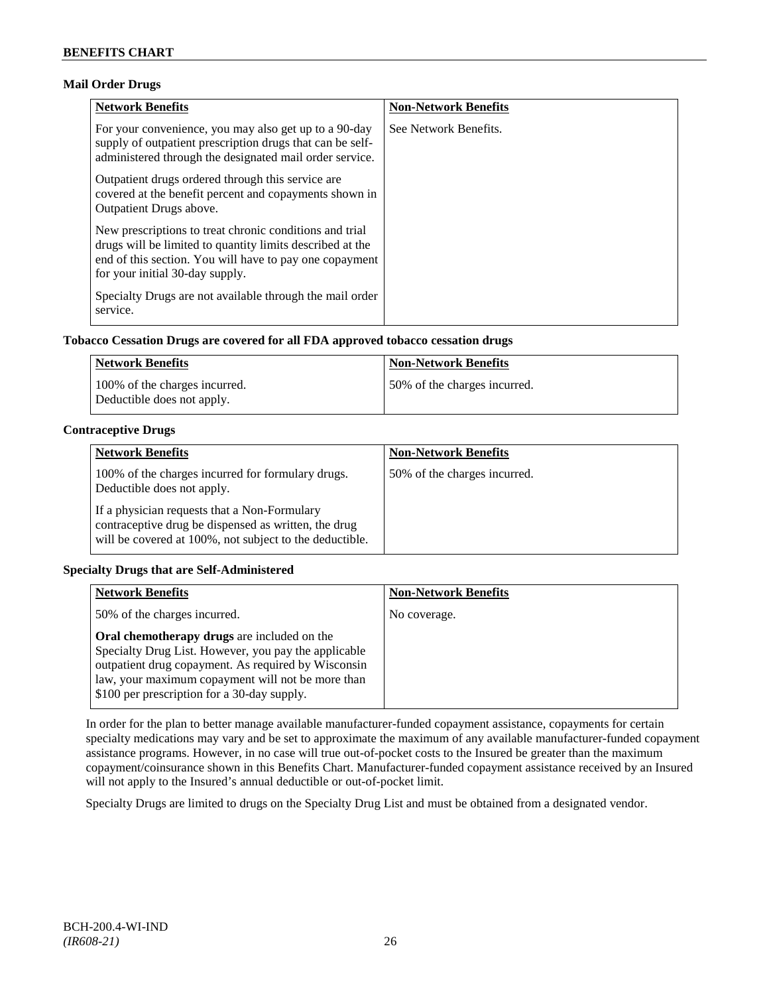### **Mail Order Drugs**

| <b>Network Benefits</b>                                                                                                                                                                                            | <b>Non-Network Benefits</b> |
|--------------------------------------------------------------------------------------------------------------------------------------------------------------------------------------------------------------------|-----------------------------|
| For your convenience, you may also get up to a 90-day<br>supply of outpatient prescription drugs that can be self-<br>administered through the designated mail order service.                                      | See Network Benefits.       |
| Outpatient drugs ordered through this service are.<br>covered at the benefit percent and copayments shown in<br><b>Outpatient Drugs above.</b>                                                                     |                             |
| New prescriptions to treat chronic conditions and trial<br>drugs will be limited to quantity limits described at the<br>end of this section. You will have to pay one copayment<br>for your initial 30-day supply. |                             |
| Specialty Drugs are not available through the mail order<br>service.                                                                                                                                               |                             |

### **Tobacco Cessation Drugs are covered for all FDA approved tobacco cessation drugs**

| Network Benefits                                            | <b>Non-Network Benefits</b>  |
|-------------------------------------------------------------|------------------------------|
| 100% of the charges incurred.<br>Deductible does not apply. | 50% of the charges incurred. |

### **Contraceptive Drugs**

| <b>Network Benefits</b>                                                                                                                                         | <b>Non-Network Benefits</b>  |
|-----------------------------------------------------------------------------------------------------------------------------------------------------------------|------------------------------|
| 100% of the charges incurred for formulary drugs.<br>Deductible does not apply.                                                                                 | 50% of the charges incurred. |
| If a physician requests that a Non-Formulary<br>contraceptive drug be dispensed as written, the drug<br>will be covered at 100%, not subject to the deductible. |                              |

### **Specialty Drugs that are Self-Administered**

| <b>Network Benefits</b>                                                                                                                                                                                                                                               | <b>Non-Network Benefits</b> |
|-----------------------------------------------------------------------------------------------------------------------------------------------------------------------------------------------------------------------------------------------------------------------|-----------------------------|
| 50% of the charges incurred.                                                                                                                                                                                                                                          | No coverage.                |
| <b>Oral chemotherapy drugs</b> are included on the<br>Specialty Drug List. However, you pay the applicable<br>outpatient drug copayment. As required by Wisconsin<br>law, your maximum copayment will not be more than<br>\$100 per prescription for a 30-day supply. |                             |

In order for the plan to better manage available manufacturer-funded copayment assistance, copayments for certain specialty medications may vary and be set to approximate the maximum of any available manufacturer-funded copayment assistance programs. However, in no case will true out-of-pocket costs to the Insured be greater than the maximum copayment/coinsurance shown in this Benefits Chart. Manufacturer-funded copayment assistance received by an Insured will not apply to the Insured's annual deductible or out-of-pocket limit.

Specialty Drugs are limited to drugs on the Specialty Drug List and must be obtained from a designated vendor.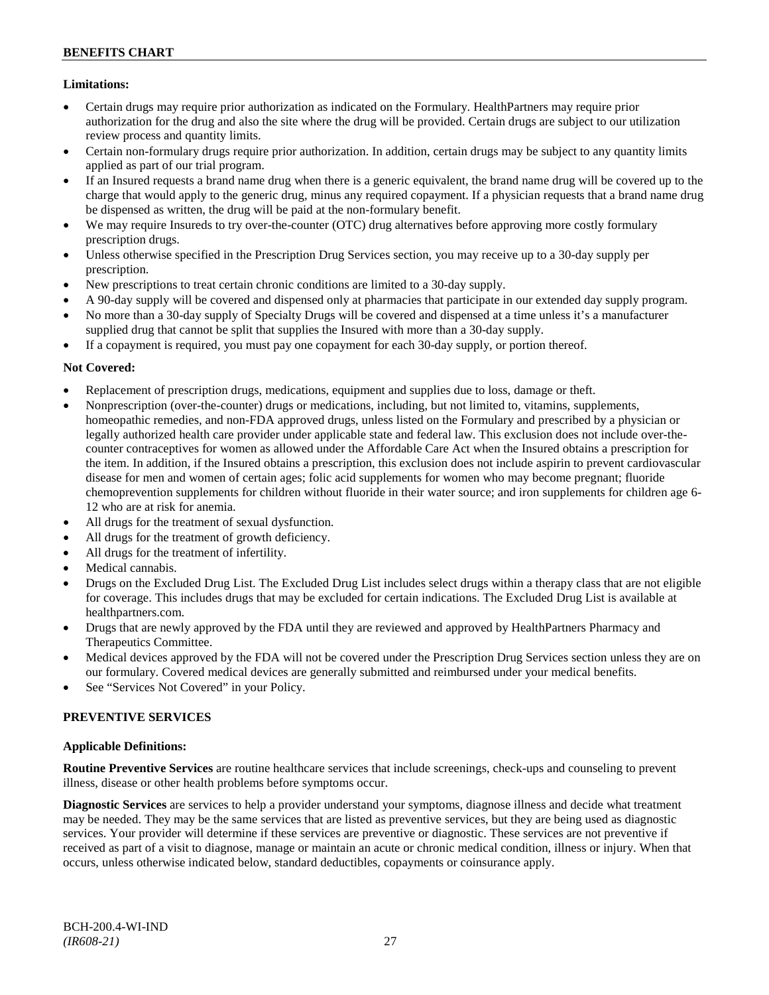### **Limitations:**

- Certain drugs may require prior authorization as indicated on the Formulary. HealthPartners may require prior authorization for the drug and also the site where the drug will be provided. Certain drugs are subject to our utilization review process and quantity limits.
- Certain non-formulary drugs require prior authorization. In addition, certain drugs may be subject to any quantity limits applied as part of our trial program.
- If an Insured requests a brand name drug when there is a generic equivalent, the brand name drug will be covered up to the charge that would apply to the generic drug, minus any required copayment. If a physician requests that a brand name drug be dispensed as written, the drug will be paid at the non-formulary benefit.
- We may require Insureds to try over-the-counter (OTC) drug alternatives before approving more costly formulary prescription drugs.
- Unless otherwise specified in the Prescription Drug Services section, you may receive up to a 30-day supply per prescription.
- New prescriptions to treat certain chronic conditions are limited to a 30-day supply.
- A 90-day supply will be covered and dispensed only at pharmacies that participate in our extended day supply program.
- No more than a 30-day supply of Specialty Drugs will be covered and dispensed at a time unless it's a manufacturer supplied drug that cannot be split that supplies the Insured with more than a 30-day supply.
- If a copayment is required, you must pay one copayment for each 30-day supply, or portion thereof.

### **Not Covered:**

- Replacement of prescription drugs, medications, equipment and supplies due to loss, damage or theft.
- Nonprescription (over-the-counter) drugs or medications, including, but not limited to, vitamins, supplements, homeopathic remedies, and non-FDA approved drugs, unless listed on the Formulary and prescribed by a physician or legally authorized health care provider under applicable state and federal law. This exclusion does not include over-thecounter contraceptives for women as allowed under the Affordable Care Act when the Insured obtains a prescription for the item. In addition, if the Insured obtains a prescription, this exclusion does not include aspirin to prevent cardiovascular disease for men and women of certain ages; folic acid supplements for women who may become pregnant; fluoride chemoprevention supplements for children without fluoride in their water source; and iron supplements for children age 6- 12 who are at risk for anemia.
- All drugs for the treatment of sexual dysfunction.
- All drugs for the treatment of growth deficiency.
- All drugs for the treatment of infertility.
- Medical cannabis.
- Drugs on the Excluded Drug List. The Excluded Drug List includes select drugs within a therapy class that are not eligible for coverage. This includes drugs that may be excluded for certain indications. The Excluded Drug List is available at [healthpartners.com.](http://www.healthpartners.com/)
- Drugs that are newly approved by the FDA until they are reviewed and approved by HealthPartners Pharmacy and Therapeutics Committee.
- Medical devices approved by the FDA will not be covered under the Prescription Drug Services section unless they are on our formulary. Covered medical devices are generally submitted and reimbursed under your medical benefits.
- See "Services Not Covered" in your Policy.

### **PREVENTIVE SERVICES**

### **Applicable Definitions:**

**Routine Preventive Services** are routine healthcare services that include screenings, check-ups and counseling to prevent illness, disease or other health problems before symptoms occur.

**Diagnostic Services** are services to help a provider understand your symptoms, diagnose illness and decide what treatment may be needed. They may be the same services that are listed as preventive services, but they are being used as diagnostic services. Your provider will determine if these services are preventive or diagnostic. These services are not preventive if received as part of a visit to diagnose, manage or maintain an acute or chronic medical condition, illness or injury. When that occurs, unless otherwise indicated below, standard deductibles, copayments or coinsurance apply.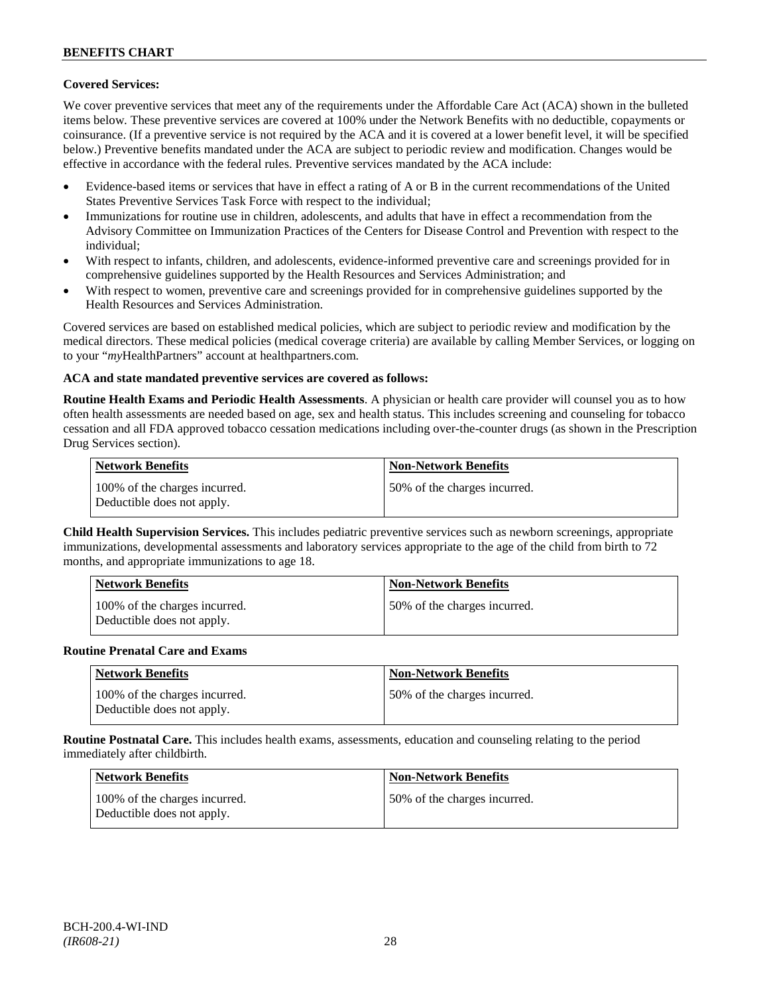### **Covered Services:**

We cover preventive services that meet any of the requirements under the Affordable Care Act (ACA) shown in the bulleted items below. These preventive services are covered at 100% under the Network Benefits with no deductible, copayments or coinsurance. (If a preventive service is not required by the ACA and it is covered at a lower benefit level, it will be specified below.) Preventive benefits mandated under the ACA are subject to periodic review and modification. Changes would be effective in accordance with the federal rules. Preventive services mandated by the ACA include:

- Evidence-based items or services that have in effect a rating of A or B in the current recommendations of the United States Preventive Services Task Force with respect to the individual;
- Immunizations for routine use in children, adolescents, and adults that have in effect a recommendation from the Advisory Committee on Immunization Practices of the Centers for Disease Control and Prevention with respect to the individual;
- With respect to infants, children, and adolescents, evidence-informed preventive care and screenings provided for in comprehensive guidelines supported by the Health Resources and Services Administration; and
- With respect to women, preventive care and screenings provided for in comprehensive guidelines supported by the Health Resources and Services Administration.

Covered services are based on established medical policies, which are subject to periodic review and modification by the medical directors. These medical policies (medical coverage criteria) are available by calling Member Services, or logging on to your "*my*HealthPartners" account at [healthpartners.com.](http://www.healthpartners.com/)

### **ACA and state mandated preventive services are covered as follows:**

**Routine Health Exams and Periodic Health Assessments**. A physician or health care provider will counsel you as to how often health assessments are needed based on age, sex and health status. This includes screening and counseling for tobacco cessation and all FDA approved tobacco cessation medications including over-the-counter drugs (as shown in the Prescription Drug Services section).

| <b>Network Benefits</b>                                     | <b>Non-Network Benefits</b>  |
|-------------------------------------------------------------|------------------------------|
| 100% of the charges incurred.<br>Deductible does not apply. | 50% of the charges incurred. |

**Child Health Supervision Services.** This includes pediatric preventive services such as newborn screenings, appropriate immunizations, developmental assessments and laboratory services appropriate to the age of the child from birth to 72 months, and appropriate immunizations to age 18.

| <b>Network Benefits</b>                                     | <b>Non-Network Benefits</b>  |
|-------------------------------------------------------------|------------------------------|
| 100% of the charges incurred.<br>Deductible does not apply. | 50% of the charges incurred. |

#### **Routine Prenatal Care and Exams**

| <b>Network Benefits</b>                                     | <b>Non-Network Benefits</b>  |
|-------------------------------------------------------------|------------------------------|
| 100% of the charges incurred.<br>Deductible does not apply. | 50% of the charges incurred. |

**Routine Postnatal Care.** This includes health exams, assessments, education and counseling relating to the period immediately after childbirth.

| Network Benefits                                            | <b>Non-Network Benefits</b>  |
|-------------------------------------------------------------|------------------------------|
| 100% of the charges incurred.<br>Deductible does not apply. | 50% of the charges incurred. |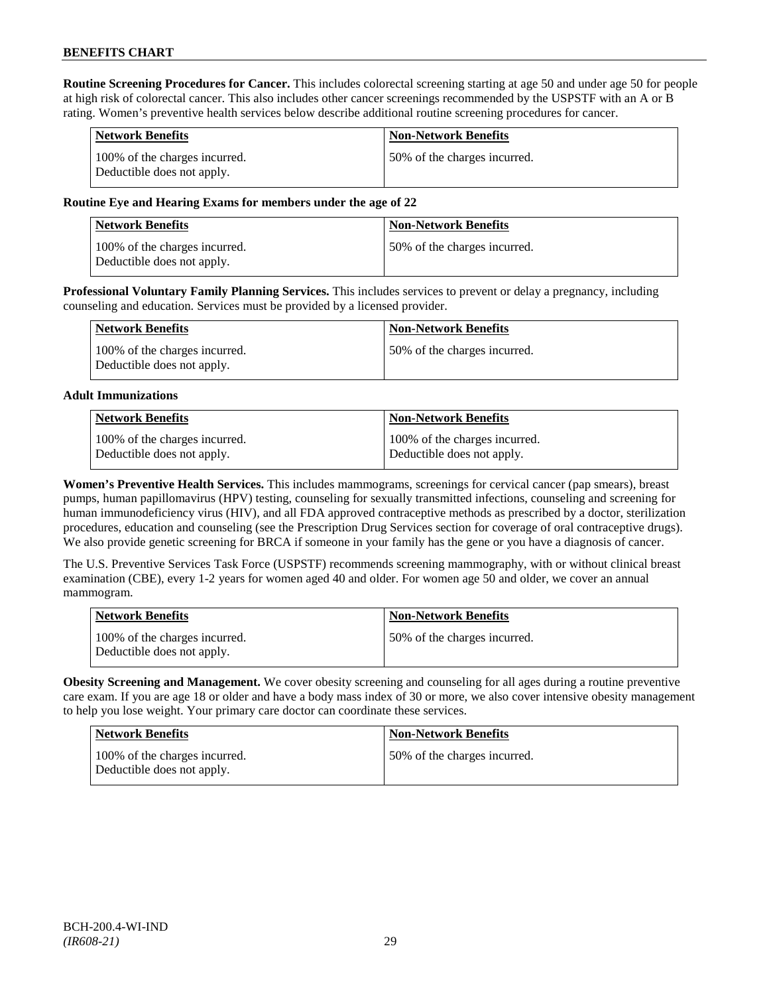**Routine Screening Procedures for Cancer.** This includes colorectal screening starting at age 50 and under age 50 for people at high risk of colorectal cancer. This also includes other cancer screenings recommended by the USPSTF with an A or B rating. Women's preventive health services below describe additional routine screening procedures for cancer.

| <b>Network Benefits</b>                                     | <b>Non-Network Benefits</b>  |
|-------------------------------------------------------------|------------------------------|
| 100% of the charges incurred.<br>Deductible does not apply. | 50% of the charges incurred. |

### **Routine Eye and Hearing Exams for members under the age of 22**

| <b>Network Benefits</b>                                     | <b>Non-Network Benefits</b>  |
|-------------------------------------------------------------|------------------------------|
| 100% of the charges incurred.<br>Deductible does not apply. | 50% of the charges incurred. |

**Professional Voluntary Family Planning Services.** This includes services to prevent or delay a pregnancy, including counseling and education. Services must be provided by a licensed provider.

| Network Benefits                                            | <b>Non-Network Benefits</b>   |
|-------------------------------------------------------------|-------------------------------|
| 100% of the charges incurred.<br>Deductible does not apply. | 150% of the charges incurred. |

#### **Adult Immunizations**

| Network Benefits              | Non-Network Benefits          |
|-------------------------------|-------------------------------|
| 100% of the charges incurred. | 100% of the charges incurred. |
| Deductible does not apply.    | Deductible does not apply.    |

**Women's Preventive Health Services.** This includes mammograms, screenings for cervical cancer (pap smears), breast pumps, human papillomavirus (HPV) testing, counseling for sexually transmitted infections, counseling and screening for human immunodeficiency virus (HIV), and all FDA approved contraceptive methods as prescribed by a doctor, sterilization procedures, education and counseling (see the Prescription Drug Services section for coverage of oral contraceptive drugs). We also provide genetic screening for BRCA if someone in your family has the gene or you have a diagnosis of cancer.

The U.S. Preventive Services Task Force (USPSTF) recommends screening mammography, with or without clinical breast examination (CBE), every 1-2 years for women aged 40 and older. For women age 50 and older, we cover an annual mammogram.

| <b>Network Benefits</b>                                     | <b>Non-Network Benefits</b>  |
|-------------------------------------------------------------|------------------------------|
| 100% of the charges incurred.<br>Deductible does not apply. | 50% of the charges incurred. |

**Obesity Screening and Management.** We cover obesity screening and counseling for all ages during a routine preventive care exam. If you are age 18 or older and have a body mass index of 30 or more, we also cover intensive obesity management to help you lose weight. Your primary care doctor can coordinate these services.

| <b>Network Benefits</b>                                     | <b>Non-Network Benefits</b>  |
|-------------------------------------------------------------|------------------------------|
| 100% of the charges incurred.<br>Deductible does not apply. | 50% of the charges incurred. |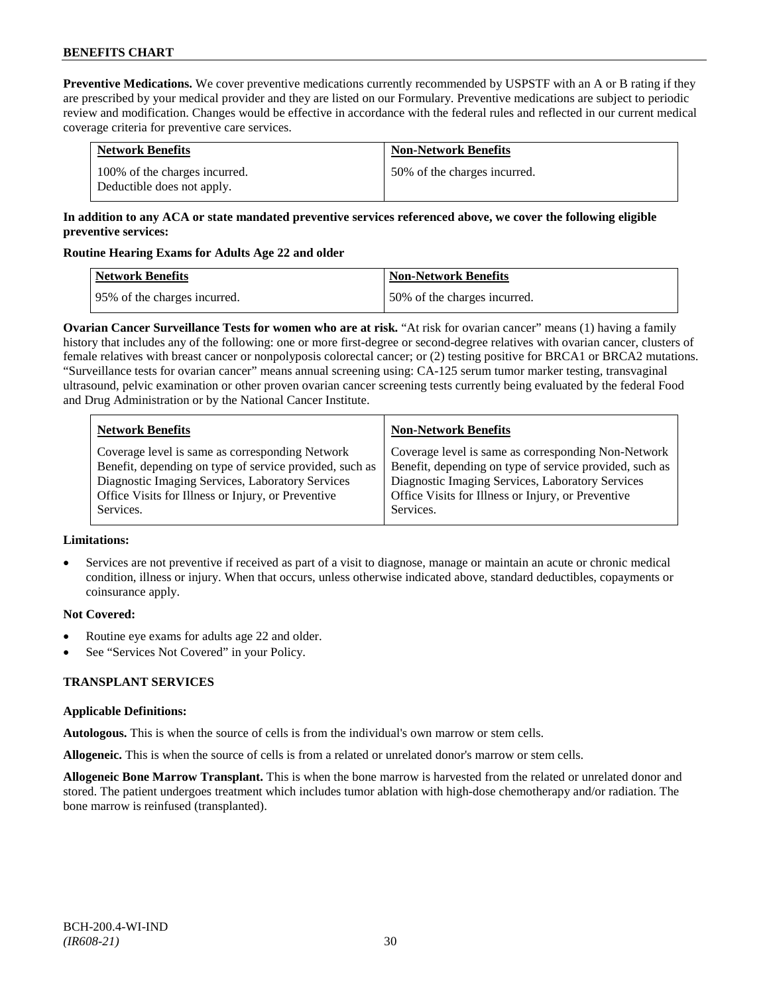**Preventive Medications.** We cover preventive medications currently recommended by USPSTF with an A or B rating if they are prescribed by your medical provider and they are listed on our Formulary. Preventive medications are subject to periodic review and modification. Changes would be effective in accordance with the federal rules and reflected in our current medical coverage criteria for preventive care services.

| <b>Network Benefits</b>                                     | <b>Non-Network Benefits</b>  |
|-------------------------------------------------------------|------------------------------|
| 100% of the charges incurred.<br>Deductible does not apply. | 50% of the charges incurred. |

### **In addition to any ACA or state mandated preventive services referenced above, we cover the following eligible preventive services:**

### **Routine Hearing Exams for Adults Age 22 and older**

| Network Benefits             | <b>Non-Network Benefits</b>  |
|------------------------------|------------------------------|
| 95% of the charges incurred. | 50% of the charges incurred. |

**Ovarian Cancer Surveillance Tests for women who are at risk.** "At risk for ovarian cancer" means (1) having a family history that includes any of the following: one or more first-degree or second-degree relatives with ovarian cancer, clusters of female relatives with breast cancer or nonpolyposis colorectal cancer; or (2) testing positive for BRCA1 or BRCA2 mutations. "Surveillance tests for ovarian cancer" means annual screening using: CA-125 serum tumor marker testing, transvaginal ultrasound, pelvic examination or other proven ovarian cancer screening tests currently being evaluated by the federal Food and Drug Administration or by the National Cancer Institute.

| <b>Network Benefits</b>                                 | <b>Non-Network Benefits</b>                             |
|---------------------------------------------------------|---------------------------------------------------------|
| Coverage level is same as corresponding Network         | Coverage level is same as corresponding Non-Network     |
| Benefit, depending on type of service provided, such as | Benefit, depending on type of service provided, such as |
| Diagnostic Imaging Services, Laboratory Services        | Diagnostic Imaging Services, Laboratory Services        |
| Office Visits for Illness or Injury, or Preventive      | Office Visits for Illness or Injury, or Preventive      |
| Services.                                               | Services.                                               |

### **Limitations:**

• Services are not preventive if received as part of a visit to diagnose, manage or maintain an acute or chronic medical condition, illness or injury. When that occurs, unless otherwise indicated above, standard deductibles, copayments or coinsurance apply.

### **Not Covered:**

- Routine eye exams for adults age 22 and older.
- See "Services Not Covered" in your Policy.

# **TRANSPLANT SERVICES**

### **Applicable Definitions:**

**Autologous.** This is when the source of cells is from the individual's own marrow or stem cells.

**Allogeneic.** This is when the source of cells is from a related or unrelated donor's marrow or stem cells.

**Allogeneic Bone Marrow Transplant.** This is when the bone marrow is harvested from the related or unrelated donor and stored. The patient undergoes treatment which includes tumor ablation with high-dose chemotherapy and/or radiation. The bone marrow is reinfused (transplanted).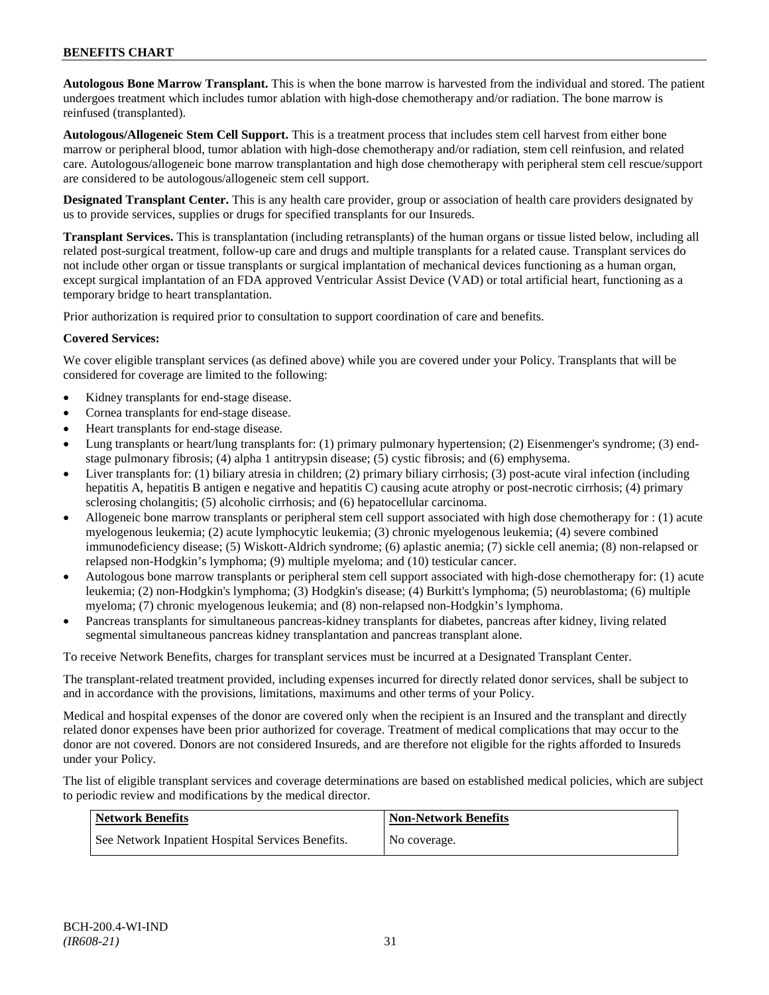## **BENEFITS CHART**

**Autologous Bone Marrow Transplant.** This is when the bone marrow is harvested from the individual and stored. The patient undergoes treatment which includes tumor ablation with high-dose chemotherapy and/or radiation. The bone marrow is reinfused (transplanted).

**Autologous/Allogeneic Stem Cell Support.** This is a treatment process that includes stem cell harvest from either bone marrow or peripheral blood, tumor ablation with high-dose chemotherapy and/or radiation, stem cell reinfusion, and related care. Autologous/allogeneic bone marrow transplantation and high dose chemotherapy with peripheral stem cell rescue/support are considered to be autologous/allogeneic stem cell support.

**Designated Transplant Center.** This is any health care provider, group or association of health care providers designated by us to provide services, supplies or drugs for specified transplants for our Insureds.

**Transplant Services.** This is transplantation (including retransplants) of the human organs or tissue listed below, including all related post-surgical treatment, follow-up care and drugs and multiple transplants for a related cause. Transplant services do not include other organ or tissue transplants or surgical implantation of mechanical devices functioning as a human organ, except surgical implantation of an FDA approved Ventricular Assist Device (VAD) or total artificial heart, functioning as a temporary bridge to heart transplantation.

Prior authorization is required prior to consultation to support coordination of care and benefits.

### **Covered Services:**

We cover eligible transplant services (as defined above) while you are covered under your Policy. Transplants that will be considered for coverage are limited to the following:

- Kidney transplants for end-stage disease.
- Cornea transplants for end-stage disease.
- Heart transplants for end-stage disease.
- Lung transplants or heart/lung transplants for: (1) primary pulmonary hypertension; (2) Eisenmenger's syndrome; (3) endstage pulmonary fibrosis; (4) alpha 1 antitrypsin disease; (5) cystic fibrosis; and (6) emphysema.
- Liver transplants for: (1) biliary atresia in children; (2) primary biliary cirrhosis; (3) post-acute viral infection (including hepatitis A, hepatitis B antigen e negative and hepatitis C) causing acute atrophy or post-necrotic cirrhosis; (4) primary sclerosing cholangitis; (5) alcoholic cirrhosis; and (6) hepatocellular carcinoma.
- Allogeneic bone marrow transplants or peripheral stem cell support associated with high dose chemotherapy for : (1) acute myelogenous leukemia; (2) acute lymphocytic leukemia; (3) chronic myelogenous leukemia; (4) severe combined immunodeficiency disease; (5) Wiskott-Aldrich syndrome; (6) aplastic anemia; (7) sickle cell anemia; (8) non-relapsed or relapsed non-Hodgkin's lymphoma; (9) multiple myeloma; and (10) testicular cancer.
- Autologous bone marrow transplants or peripheral stem cell support associated with high-dose chemotherapy for: (1) acute leukemia; (2) non-Hodgkin's lymphoma; (3) Hodgkin's disease; (4) Burkitt's lymphoma; (5) neuroblastoma; (6) multiple myeloma; (7) chronic myelogenous leukemia; and (8) non-relapsed non-Hodgkin's lymphoma.
- Pancreas transplants for simultaneous pancreas-kidney transplants for diabetes, pancreas after kidney, living related segmental simultaneous pancreas kidney transplantation and pancreas transplant alone.

To receive Network Benefits, charges for transplant services must be incurred at a Designated Transplant Center.

The transplant-related treatment provided, including expenses incurred for directly related donor services, shall be subject to and in accordance with the provisions, limitations, maximums and other terms of your Policy.

Medical and hospital expenses of the donor are covered only when the recipient is an Insured and the transplant and directly related donor expenses have been prior authorized for coverage. Treatment of medical complications that may occur to the donor are not covered. Donors are not considered Insureds, and are therefore not eligible for the rights afforded to Insureds under your Policy.

The list of eligible transplant services and coverage determinations are based on established medical policies, which are subject to periodic review and modifications by the medical director.

| Network Benefits                                  | <b>Non-Network Benefits</b> |
|---------------------------------------------------|-----------------------------|
| See Network Inpatient Hospital Services Benefits. | No coverage.                |